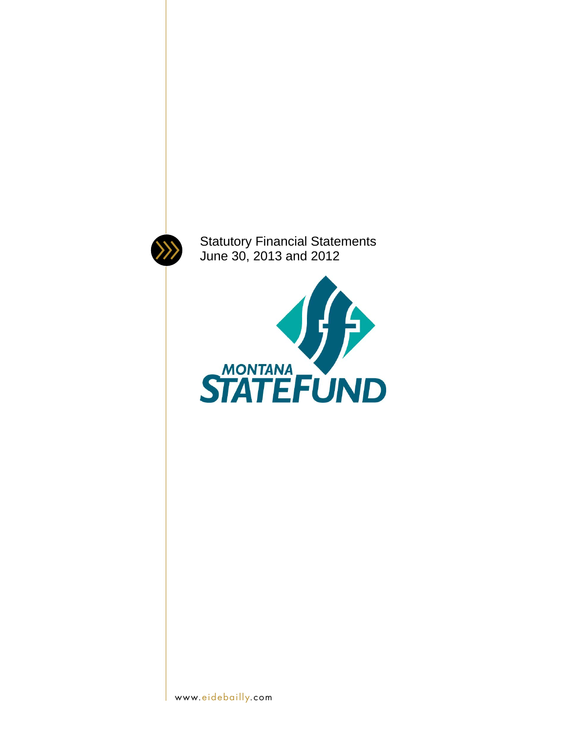

Statutory Financial Statements June 30, 2013 and 2012

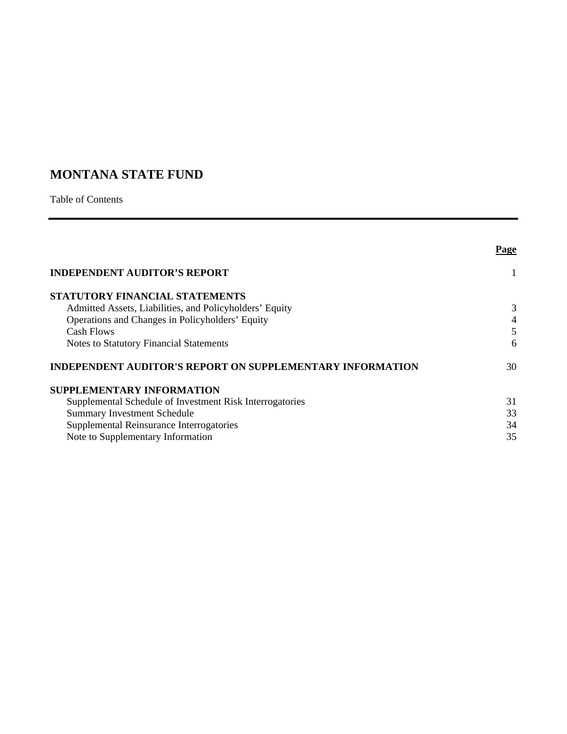# **MONTANA STATE FUND**

Table of Contents

|                                                                  | Page           |
|------------------------------------------------------------------|----------------|
| <b>INDEPENDENT AUDITOR'S REPORT</b>                              |                |
| STATUTORY FINANCIAL STATEMENTS                                   |                |
| Admitted Assets, Liabilities, and Policyholders' Equity          | 3              |
| Operations and Changes in Policyholders' Equity                  | $\overline{4}$ |
| Cash Flows                                                       | 5              |
| <b>Notes to Statutory Financial Statements</b>                   | 6              |
| <b>INDEPENDENT AUDITOR'S REPORT ON SUPPLEMENTARY INFORMATION</b> | 30             |
| <b>SUPPLEMENTARY INFORMATION</b>                                 |                |
| Supplemental Schedule of Investment Risk Interrogatories         | 31             |
| <b>Summary Investment Schedule</b>                               | 33             |
| Supplemental Reinsurance Interrogatories                         | 34             |
| Note to Supplementary Information                                | 35             |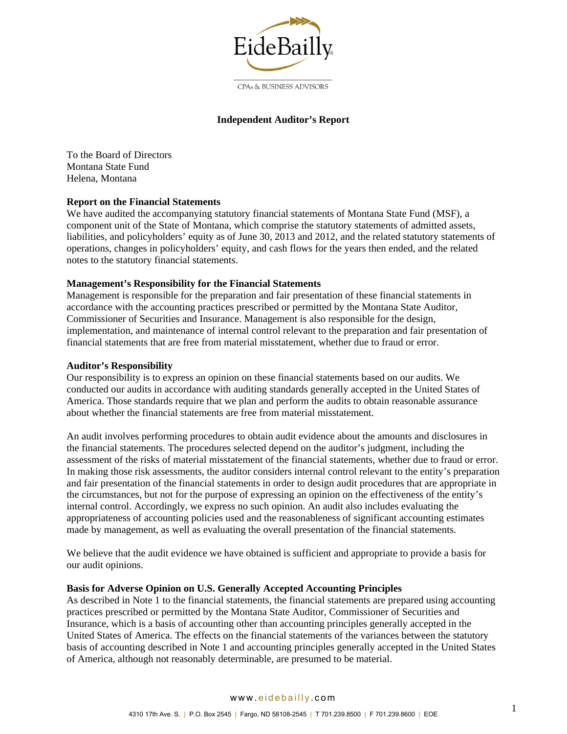

### CPAs & BUSINESS ADVISORS

### **Independent Auditor's Report**

To the Board of Directors Montana State Fund Helena, Montana

### **Report on the Financial Statements**

We have audited the accompanying statutory financial statements of Montana State Fund (MSF), a component unit of the State of Montana, which comprise the statutory statements of admitted assets, liabilities, and policyholders' equity as of June 30, 2013 and 2012, and the related statutory statements of operations, changes in policyholders' equity, and cash flows for the years then ended, and the related notes to the statutory financial statements.

### **Management's Responsibility for the Financial Statements**

Management is responsible for the preparation and fair presentation of these financial statements in accordance with the accounting practices prescribed or permitted by the Montana State Auditor, Commissioner of Securities and Insurance. Management is also responsible for the design, implementation, and maintenance of internal control relevant to the preparation and fair presentation of financial statements that are free from material misstatement, whether due to fraud or error.

#### **Auditor's Responsibility**

Our responsibility is to express an opinion on these financial statements based on our audits. We conducted our audits in accordance with auditing standards generally accepted in the United States of America. Those standards require that we plan and perform the audits to obtain reasonable assurance about whether the financial statements are free from material misstatement.

An audit involves performing procedures to obtain audit evidence about the amounts and disclosures in the financial statements. The procedures selected depend on the auditor's judgment, including the assessment of the risks of material misstatement of the financial statements, whether due to fraud or error. In making those risk assessments, the auditor considers internal control relevant to the entity's preparation and fair presentation of the financial statements in order to design audit procedures that are appropriate in the circumstances, but not for the purpose of expressing an opinion on the effectiveness of the entity's internal control. Accordingly, we express no such opinion. An audit also includes evaluating the appropriateness of accounting policies used and the reasonableness of significant accounting estimates made by management, as well as evaluating the overall presentation of the financial statements.

We believe that the audit evidence we have obtained is sufficient and appropriate to provide a basis for our audit opinions.

#### **Basis for Adverse Opinion on U.S. Generally Accepted Accounting Principles**

As described in Note 1 to the financial statements, the financial statements are prepared using accounting practices prescribed or permitted by the Montana State Auditor, Commissioner of Securities and Insurance, which is a basis of accounting other than accounting principles generally accepted in the United States of America. The effects on the financial statements of the variances between the statutory basis of accounting described in Note 1 and accounting principles generally accepted in the United States of America, although not reasonably determinable, are presumed to be material.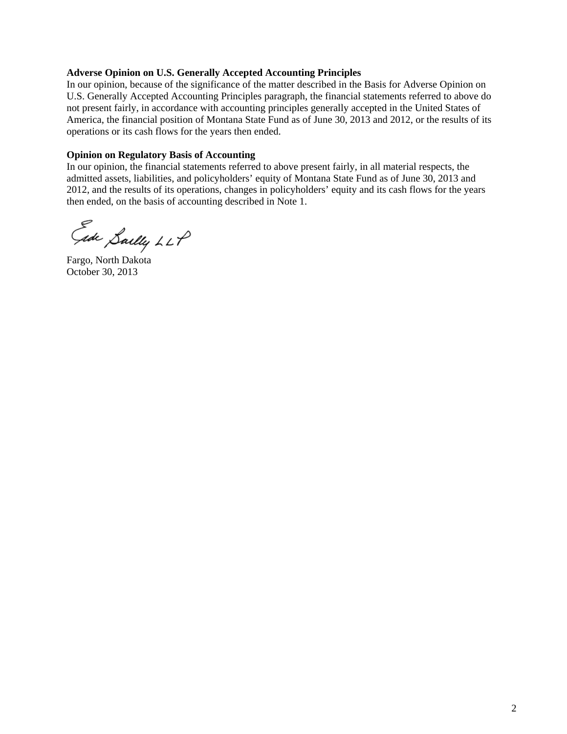### **Adverse Opinion on U.S. Generally Accepted Accounting Principles**

In our opinion, because of the significance of the matter described in the Basis for Adverse Opinion on U.S. Generally Accepted Accounting Principles paragraph, the financial statements referred to above do not present fairly, in accordance with accounting principles generally accepted in the United States of America, the financial position of Montana State Fund as of June 30, 2013 and 2012, or the results of its operations or its cash flows for the years then ended.

### **Opinion on Regulatory Basis of Accounting**

In our opinion, the financial statements referred to above present fairly, in all material respects, the admitted assets, liabilities, and policyholders' equity of Montana State Fund as of June 30, 2013 and 2012, and the results of its operations, changes in policyholders' equity and its cash flows for the years then ended, on the basis of accounting described in Note 1.

Ede Saelly LLP

Fargo, North Dakota October 30, 2013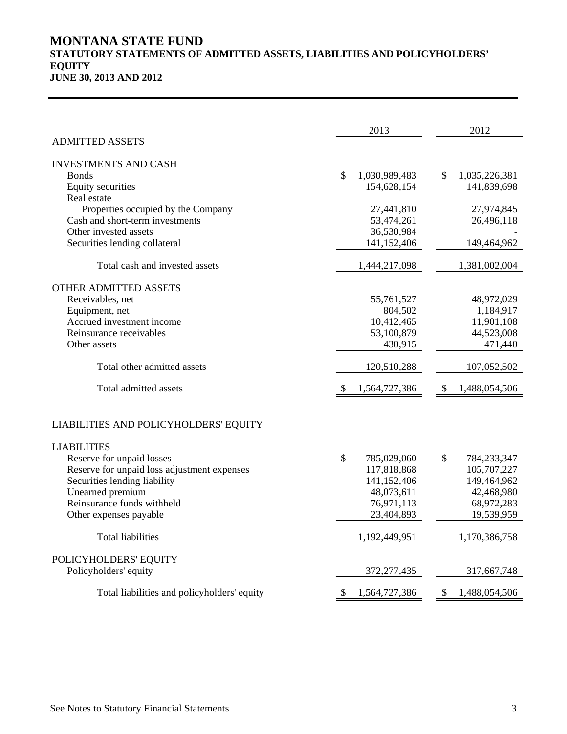# **MONTANA STATE FUND STATUTORY STATEMENTS OF ADMITTED ASSETS, LIABILITIES AND POLICYHOLDERS' EQUITY JUNE 30, 2013 AND 2012**

|                                                          | 2013                      | 2012                           |
|----------------------------------------------------------|---------------------------|--------------------------------|
| <b>ADMITTED ASSETS</b>                                   |                           |                                |
| <b>INVESTMENTS AND CASH</b><br><b>Bonds</b>              | \$<br>1,030,989,483       | \$<br>1,035,226,381            |
| Equity securities<br>Real estate                         | 154,628,154               | 141,839,698                    |
| Properties occupied by the Company                       | 27,441,810                | 27,974,845                     |
| Cash and short-term investments<br>Other invested assets | 53,474,261                | 26,496,118                     |
| Securities lending collateral                            | 36,530,984<br>141,152,406 | 149,464,962                    |
|                                                          |                           |                                |
| Total cash and invested assets                           | 1,444,217,098             | 1,381,002,004                  |
| <b>OTHER ADMITTED ASSETS</b>                             |                           |                                |
| Receivables, net                                         | 55,761,527                | 48,972,029                     |
| Equipment, net                                           | 804,502                   | 1,184,917                      |
| Accrued investment income                                | 10,412,465                | 11,901,108                     |
| Reinsurance receivables                                  | 53,100,879                | 44,523,008                     |
| Other assets                                             | 430,915                   | 471,440                        |
| Total other admitted assets                              | 120,510,288               | 107,052,502                    |
| Total admitted assets                                    | 1,564,727,386<br>S        | 1,488,054,506<br><sup>\$</sup> |
| LIABILITIES AND POLICYHOLDERS' EQUITY                    |                           |                                |
| <b>LIABILITIES</b>                                       |                           |                                |
| Reserve for unpaid losses                                | \$<br>785,029,060         | \$<br>784,233,347              |
| Reserve for unpaid loss adjustment expenses              | 117,818,868               | 105,707,227                    |
| Securities lending liability                             | 141,152,406               | 149,464,962                    |
| Unearned premium                                         | 48,073,611                | 42,468,980                     |
| Reinsurance funds withheld                               | 76,971,113                | 68,972,283                     |
| Other expenses payable                                   | 23,404,893                | 19,539,959                     |
| <b>Total liabilities</b>                                 | 1,192,449,951             | 1,170,386,758                  |
| POLICYHOLDERS' EQUITY                                    |                           |                                |
| Policyholders' equity                                    | 372,277,435               | 317,667,748                    |
| Total liabilities and policyholders' equity              | 1,564,727,386<br>\$       | 1,488,054,506<br>\$            |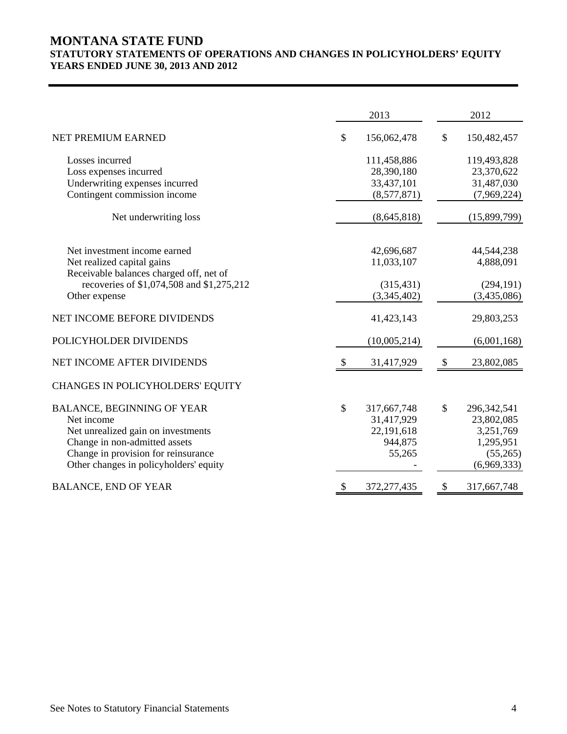# **MONTANA STATE FUND STATUTORY STATEMENTS OF OPERATIONS AND CHANGES IN POLICYHOLDERS' EQUITY YEARS ENDED JUNE 30, 2013 AND 2012**

|                                                            |          | 2013                      |               | 2012                      |
|------------------------------------------------------------|----------|---------------------------|---------------|---------------------------|
| NET PREMIUM EARNED                                         | \$       | 156,062,478               | \$            | 150,482,457               |
| Losses incurred                                            |          | 111,458,886               |               | 119,493,828               |
| Loss expenses incurred                                     |          | 28,390,180                |               | 23,370,622                |
| Underwriting expenses incurred                             |          | 33,437,101                |               | 31,487,030                |
| Contingent commission income                               |          | (8,577,871)               |               | (7,969,224)               |
| Net underwriting loss                                      |          | (8,645,818)               |               | (15,899,799)              |
|                                                            |          |                           |               |                           |
| Net investment income earned                               |          | 42,696,687                |               | 44,544,238                |
| Net realized capital gains                                 |          | 11,033,107                |               | 4,888,091                 |
| Receivable balances charged off, net of                    |          |                           |               |                           |
| recoveries of \$1,074,508 and \$1,275,212<br>Other expense |          | (315, 431)<br>(3,345,402) |               | (294, 191)<br>(3,435,086) |
|                                                            |          |                           |               |                           |
| NET INCOME BEFORE DIVIDENDS                                |          | 41,423,143                |               | 29,803,253                |
| POLICYHOLDER DIVIDENDS                                     |          | (10,005,214)              |               | (6,001,168)               |
| NET INCOME AFTER DIVIDENDS                                 | <b>S</b> | 31,417,929                | $\mathcal{S}$ | 23,802,085                |
| CHANGES IN POLICYHOLDERS' EQUITY                           |          |                           |               |                           |
| <b>BALANCE, BEGINNING OF YEAR</b>                          | \$       | 317,667,748               | \$            | 296, 342, 541             |
| Net income                                                 |          | 31,417,929                |               | 23,802,085                |
| Net unrealized gain on investments                         |          | 22,191,618                |               | 3,251,769                 |
| Change in non-admitted assets                              |          | 944,875                   |               | 1,295,951                 |
| Change in provision for reinsurance                        |          | 55,265                    |               | (55,265)                  |
| Other changes in policyholders' equity                     |          |                           |               | (6,969,333)               |
| <b>BALANCE, END OF YEAR</b>                                | \$       | 372,277,435               | \$            | 317,667,748               |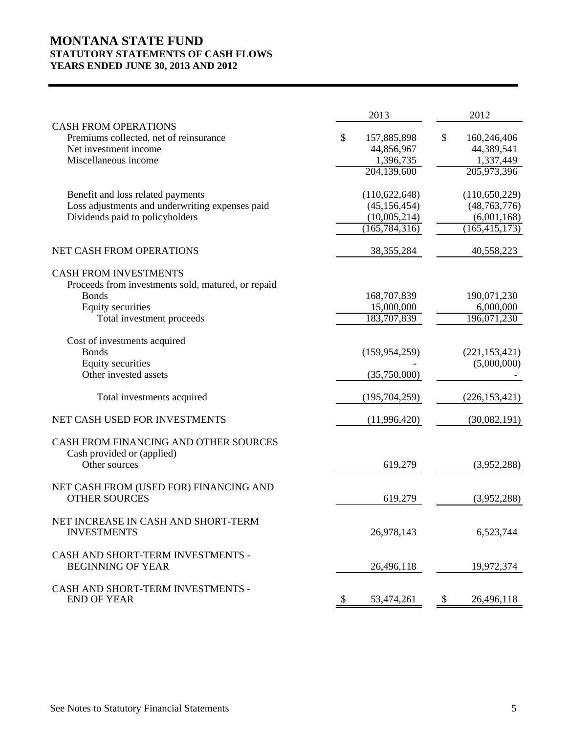# **MONTANA STATE FUND STATUTORY STATEMENTS OF CASH FLOWS YEARS ENDED JUNE 30, 2013 AND 2012**

|                                                                                                                                                      | 2013                                                                 | 2012                                                                |
|------------------------------------------------------------------------------------------------------------------------------------------------------|----------------------------------------------------------------------|---------------------------------------------------------------------|
| <b>CASH FROM OPERATIONS</b><br>Premiums collected, net of reinsurance<br>Net investment income<br>Miscellaneous income                               | \$<br>157,885,898<br>44,856,967<br>1,396,735<br>204,139,600          | \$<br>160,246,406<br>44,389,541<br>1,337,449<br>205,973,396         |
| Benefit and loss related payments<br>Loss adjustments and underwriting expenses paid<br>Dividends paid to policyholders                              | (110, 622, 648)<br>(45, 156, 454)<br>(10,005,214)<br>(165, 784, 316) | (110, 650, 229)<br>(48, 763, 776)<br>(6,001,168)<br>(165, 415, 173) |
| NET CASH FROM OPERATIONS                                                                                                                             | 38, 355, 284                                                         | 40,558,223                                                          |
| <b>CASH FROM INVESTMENTS</b><br>Proceeds from investments sold, matured, or repaid<br><b>Bonds</b><br>Equity securities<br>Total investment proceeds | 168,707,839<br>15,000,000<br>183,707,839                             | 190,071,230<br>6,000,000<br>196,071,230                             |
| Cost of investments acquired<br><b>Bonds</b><br>Equity securities<br>Other invested assets                                                           | (159, 954, 259)<br>(35,750,000)                                      | (221, 153, 421)<br>(5,000,000)                                      |
| Total investments acquired                                                                                                                           | (195,704,259)                                                        | (226, 153, 421)                                                     |
| NET CASH USED FOR INVESTMENTS                                                                                                                        | (11,996,420)                                                         | (30,082,191)                                                        |
| CASH FROM FINANCING AND OTHER SOURCES<br>Cash provided or (applied)<br>Other sources                                                                 | 619,279                                                              | (3,952,288)                                                         |
| NET CASH FROM (USED FOR) FINANCING AND<br><b>OTHER SOURCES</b>                                                                                       | 619,279                                                              | (3,952,288)                                                         |
| NET INCREASE IN CASH AND SHORT-TERM<br><b>INVESTMENTS</b>                                                                                            | 26,978,143                                                           | 6,523,744                                                           |
| CASH AND SHORT-TERM INVESTMENTS -<br><b>BEGINNING OF YEAR</b>                                                                                        | 26,496,118                                                           | 19,972,374                                                          |
| CASH AND SHORT-TERM INVESTMENTS -<br><b>END OF YEAR</b>                                                                                              | 53,474,261<br>$\mathcal{S}$                                          | 26,496,118<br>$\boldsymbol{\mathsf{S}}$                             |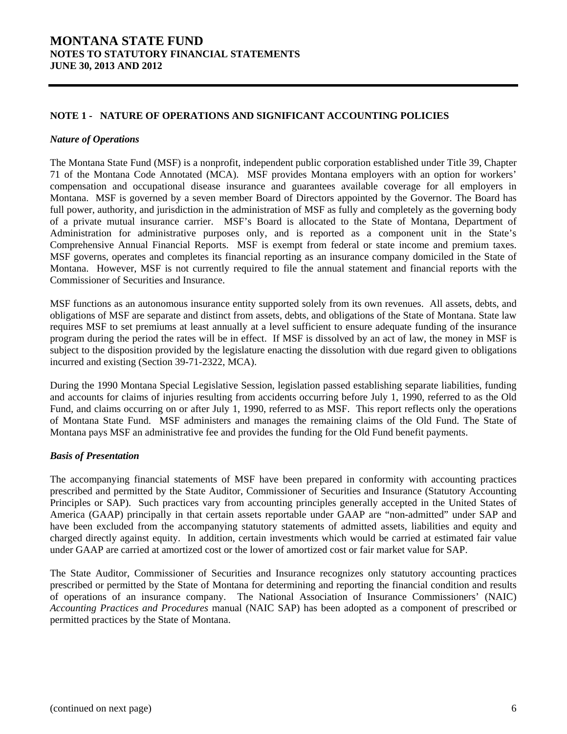### **NOTE 1 - NATURE OF OPERATIONS AND SIGNIFICANT ACCOUNTING POLICIES**

#### *Nature of Operations*

The Montana State Fund (MSF) is a nonprofit, independent public corporation established under Title 39, Chapter 71 of the Montana Code Annotated (MCA). MSF provides Montana employers with an option for workers' compensation and occupational disease insurance and guarantees available coverage for all employers in Montana. MSF is governed by a seven member Board of Directors appointed by the Governor. The Board has full power, authority, and jurisdiction in the administration of MSF as fully and completely as the governing body of a private mutual insurance carrier. MSF's Board is allocated to the State of Montana, Department of Administration for administrative purposes only, and is reported as a component unit in the State's Comprehensive Annual Financial Reports. MSF is exempt from federal or state income and premium taxes. MSF governs, operates and completes its financial reporting as an insurance company domiciled in the State of Montana. However, MSF is not currently required to file the annual statement and financial reports with the Commissioner of Securities and Insurance.

MSF functions as an autonomous insurance entity supported solely from its own revenues. All assets, debts, and obligations of MSF are separate and distinct from assets, debts, and obligations of the State of Montana. State law requires MSF to set premiums at least annually at a level sufficient to ensure adequate funding of the insurance program during the period the rates will be in effect. If MSF is dissolved by an act of law, the money in MSF is subject to the disposition provided by the legislature enacting the dissolution with due regard given to obligations incurred and existing (Section 39-71-2322, MCA).

During the 1990 Montana Special Legislative Session, legislation passed establishing separate liabilities, funding and accounts for claims of injuries resulting from accidents occurring before July 1, 1990, referred to as the Old Fund, and claims occurring on or after July 1, 1990, referred to as MSF. This report reflects only the operations of Montana State Fund. MSF administers and manages the remaining claims of the Old Fund. The State of Montana pays MSF an administrative fee and provides the funding for the Old Fund benefit payments.

### *Basis of Presentation*

The accompanying financial statements of MSF have been prepared in conformity with accounting practices prescribed and permitted by the State Auditor, Commissioner of Securities and Insurance (Statutory Accounting Principles or SAP). Such practices vary from accounting principles generally accepted in the United States of America (GAAP) principally in that certain assets reportable under GAAP are "non-admitted" under SAP and have been excluded from the accompanying statutory statements of admitted assets, liabilities and equity and charged directly against equity. In addition, certain investments which would be carried at estimated fair value under GAAP are carried at amortized cost or the lower of amortized cost or fair market value for SAP.

The State Auditor, Commissioner of Securities and Insurance recognizes only statutory accounting practices prescribed or permitted by the State of Montana for determining and reporting the financial condition and results of operations of an insurance company. The National Association of Insurance Commissioners' (NAIC) *Accounting Practices and Procedures* manual (NAIC SAP) has been adopted as a component of prescribed or permitted practices by the State of Montana.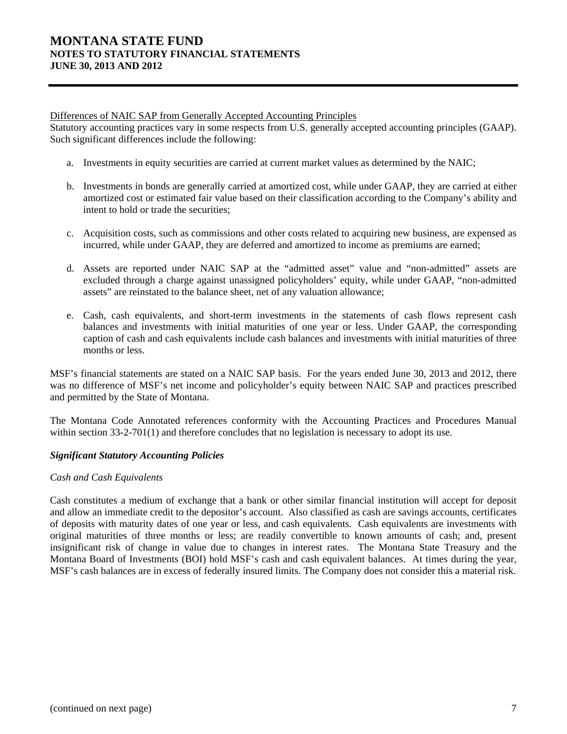#### Differences of NAIC SAP from Generally Accepted Accounting Principles

Statutory accounting practices vary in some respects from U.S. generally accepted accounting principles (GAAP). Such significant differences include the following:

- a. Investments in equity securities are carried at current market values as determined by the NAIC;
- b. Investments in bonds are generally carried at amortized cost, while under GAAP, they are carried at either amortized cost or estimated fair value based on their classification according to the Company's ability and intent to hold or trade the securities;
- c. Acquisition costs, such as commissions and other costs related to acquiring new business, are expensed as incurred, while under GAAP, they are deferred and amortized to income as premiums are earned;
- d. Assets are reported under NAIC SAP at the "admitted asset" value and "non-admitted" assets are excluded through a charge against unassigned policyholders' equity, while under GAAP, "non-admitted assets" are reinstated to the balance sheet, net of any valuation allowance;
- e. Cash, cash equivalents, and short-term investments in the statements of cash flows represent cash balances and investments with initial maturities of one year or less. Under GAAP, the corresponding caption of cash and cash equivalents include cash balances and investments with initial maturities of three months or less.

MSF's financial statements are stated on a NAIC SAP basis. For the years ended June 30, 2013 and 2012, there was no difference of MSF's net income and policyholder's equity between NAIC SAP and practices prescribed and permitted by the State of Montana.

The Montana Code Annotated references conformity with the Accounting Practices and Procedures Manual within section 33-2-701(1) and therefore concludes that no legislation is necessary to adopt its use.

### *Significant Statutory Accounting Policies*

### *Cash and Cash Equivalents*

Cash constitutes a medium of exchange that a bank or other similar financial institution will accept for deposit and allow an immediate credit to the depositor's account. Also classified as cash are savings accounts, certificates of deposits with maturity dates of one year or less, and cash equivalents. Cash equivalents are investments with original maturities of three months or less; are readily convertible to known amounts of cash; and, present insignificant risk of change in value due to changes in interest rates. The Montana State Treasury and the Montana Board of Investments (BOI) hold MSF's cash and cash equivalent balances. At times during the year, MSF's cash balances are in excess of federally insured limits. The Company does not consider this a material risk.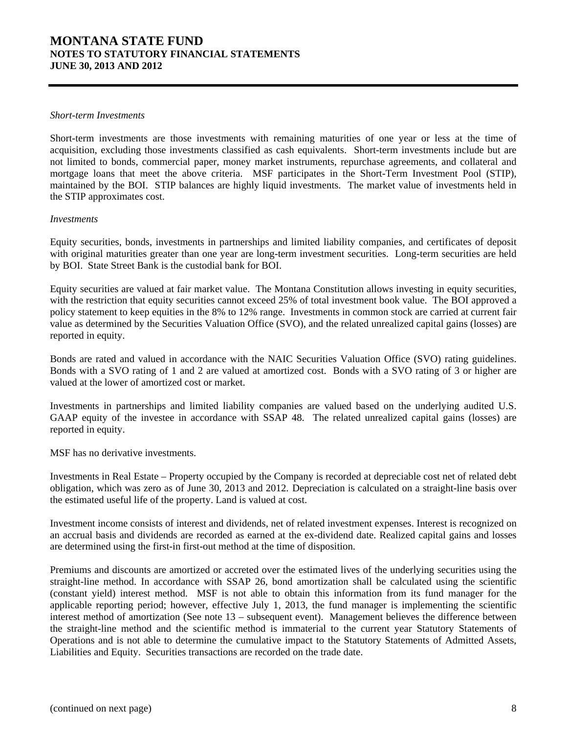#### *Short-term Investments*

Short-term investments are those investments with remaining maturities of one year or less at the time of acquisition, excluding those investments classified as cash equivalents. Short-term investments include but are not limited to bonds, commercial paper, money market instruments, repurchase agreements, and collateral and mortgage loans that meet the above criteria. MSF participates in the Short-Term Investment Pool (STIP), maintained by the BOI. STIP balances are highly liquid investments. The market value of investments held in the STIP approximates cost.

#### *Investments*

Equity securities, bonds, investments in partnerships and limited liability companies, and certificates of deposit with original maturities greater than one year are long-term investment securities. Long-term securities are held by BOI. State Street Bank is the custodial bank for BOI.

Equity securities are valued at fair market value. The Montana Constitution allows investing in equity securities, with the restriction that equity securities cannot exceed 25% of total investment book value. The BOI approved a policy statement to keep equities in the 8% to 12% range. Investments in common stock are carried at current fair value as determined by the Securities Valuation Office (SVO), and the related unrealized capital gains (losses) are reported in equity.

Bonds are rated and valued in accordance with the NAIC Securities Valuation Office (SVO) rating guidelines. Bonds with a SVO rating of 1 and 2 are valued at amortized cost. Bonds with a SVO rating of 3 or higher are valued at the lower of amortized cost or market.

Investments in partnerships and limited liability companies are valued based on the underlying audited U.S. GAAP equity of the investee in accordance with SSAP 48. The related unrealized capital gains (losses) are reported in equity.

MSF has no derivative investments.

Investments in Real Estate – Property occupied by the Company is recorded at depreciable cost net of related debt obligation, which was zero as of June 30, 2013 and 2012. Depreciation is calculated on a straight-line basis over the estimated useful life of the property. Land is valued at cost.

Investment income consists of interest and dividends, net of related investment expenses. Interest is recognized on an accrual basis and dividends are recorded as earned at the ex-dividend date. Realized capital gains and losses are determined using the first-in first-out method at the time of disposition.

Premiums and discounts are amortized or accreted over the estimated lives of the underlying securities using the straight-line method. In accordance with SSAP 26, bond amortization shall be calculated using the scientific (constant yield) interest method. MSF is not able to obtain this information from its fund manager for the applicable reporting period; however, effective July 1, 2013, the fund manager is implementing the scientific interest method of amortization (See note 13 – subsequent event). Management believes the difference between the straight-line method and the scientific method is immaterial to the current year Statutory Statements of Operations and is not able to determine the cumulative impact to the Statutory Statements of Admitted Assets, Liabilities and Equity. Securities transactions are recorded on the trade date.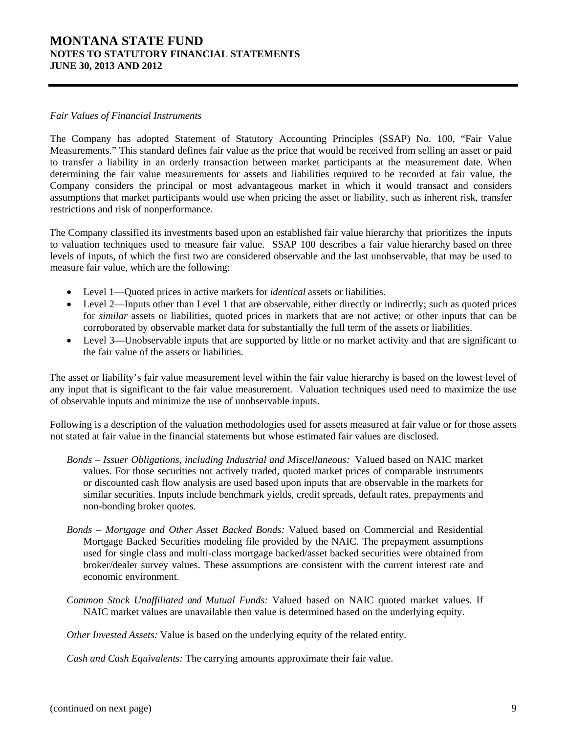#### *Fair Values of Financial Instruments*

The Company has adopted Statement of Statutory Accounting Principles (SSAP) No. 100, "Fair Value Measurements." This standard defines fair value as the price that would be received from selling an asset or paid to transfer a liability in an orderly transaction between market participants at the measurement date. When determining the fair value measurements for assets and liabilities required to be recorded at fair value, the Company considers the principal or most advantageous market in which it would transact and considers assumptions that market participants would use when pricing the asset or liability, such as inherent risk, transfer restrictions and risk of nonperformance.

The Company classified its investments based upon an established fair value hierarchy that prioritizes the inputs to valuation techniques used to measure fair value. SSAP 100 describes a fair value hierarchy based on three levels of inputs, of which the first two are considered observable and the last unobservable, that may be used to measure fair value, which are the following:

- Level 1—Quoted prices in active markets for *identical* assets or liabilities.
- Level 2—Inputs other than Level 1 that are observable, either directly or indirectly; such as quoted prices for *similar* assets or liabilities, quoted prices in markets that are not active; or other inputs that can be corroborated by observable market data for substantially the full term of the assets or liabilities.
- Level 3—Unobservable inputs that are supported by little or no market activity and that are significant to the fair value of the assets or liabilities.

The asset or liability's fair value measurement level within the fair value hierarchy is based on the lowest level of any input that is significant to the fair value measurement. Valuation techniques used need to maximize the use of observable inputs and minimize the use of unobservable inputs.

Following is a description of the valuation methodologies used for assets measured at fair value or for those assets not stated at fair value in the financial statements but whose estimated fair values are disclosed.

- *Bonds Issuer Obligations, including Industrial and Miscellaneous:* Valued based on NAIC market values. For those securities not actively traded, quoted market prices of comparable instruments or discounted cash flow analysis are used based upon inputs that are observable in the markets for similar securities. Inputs include benchmark yields, credit spreads, default rates, prepayments and non-bonding broker quotes.
- *Bonds Mortgage and Other Asset Backed Bonds:* Valued based on Commercial and Residential Mortgage Backed Securities modeling file provided by the NAIC. The prepayment assumptions used for single class and multi-class mortgage backed/asset backed securities were obtained from broker/dealer survey values. These assumptions are consistent with the current interest rate and economic environment.
- *Common Stock Unaffiliated and Mutual Funds:* Valued based on NAIC quoted market values. If NAIC market values are unavailable then value is determined based on the underlying equity.

*Other Invested Assets:* Value is based on the underlying equity of the related entity.

*Cash and Cash Equivalents:* The carrying amounts approximate their fair value.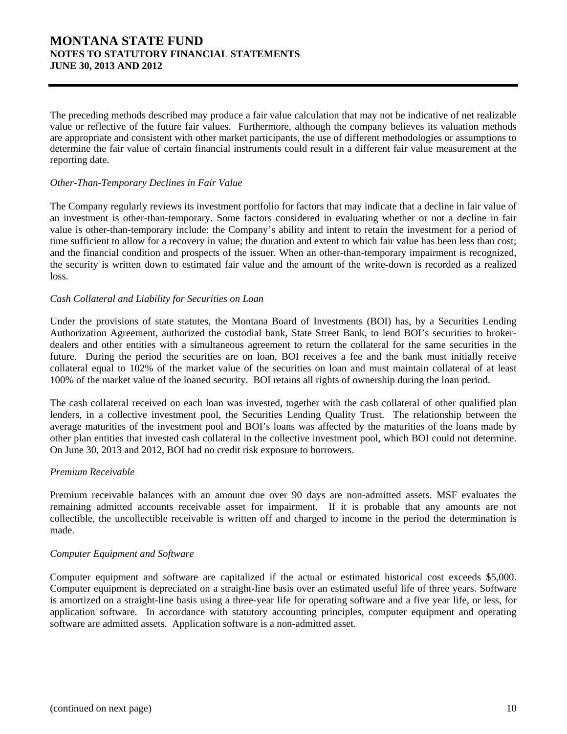The preceding methods described may produce a fair value calculation that may not be indicative of net realizable value or reflective of the future fair values. Furthermore, although the company believes its valuation methods are appropriate and consistent with other market participants, the use of different methodologies or assumptions to determine the fair value of certain financial instruments could result in a different fair value measurement at the reporting date.

### *Other-Than-Temporary Declines in Fair Value*

The Company regularly reviews its investment portfolio for factors that may indicate that a decline in fair value of an investment is other-than-temporary. Some factors considered in evaluating whether or not a decline in fair value is other-than-temporary include: the Company's ability and intent to retain the investment for a period of time sufficient to allow for a recovery in value; the duration and extent to which fair value has been less than cost; and the financial condition and prospects of the issuer. When an other-than-temporary impairment is recognized, the security is written down to estimated fair value and the amount of the write-down is recorded as a realized loss.

### *Cash Collateral and Liability for Securities on Loan*

Under the provisions of state statutes, the Montana Board of Investments (BOI) has, by a Securities Lending Authorization Agreement, authorized the custodial bank, State Street Bank, to lend BOI's securities to brokerdealers and other entities with a simultaneous agreement to return the collateral for the same securities in the future. During the period the securities are on loan, BOI receives a fee and the bank must initially receive collateral equal to 102% of the market value of the securities on loan and must maintain collateral of at least 100% of the market value of the loaned security. BOI retains all rights of ownership during the loan period.

The cash collateral received on each loan was invested, together with the cash collateral of other qualified plan lenders, in a collective investment pool, the Securities Lending Quality Trust. The relationship between the average maturities of the investment pool and BOI's loans was affected by the maturities of the loans made by other plan entities that invested cash collateral in the collective investment pool, which BOI could not determine. On June 30, 2013 and 2012, BOI had no credit risk exposure to borrowers.

### *Premium Receivable*

Premium receivable balances with an amount due over 90 days are non-admitted assets. MSF evaluates the remaining admitted accounts receivable asset for impairment. If it is probable that any amounts are not collectible, the uncollectible receivable is written off and charged to income in the period the determination is made.

#### *Computer Equipment and Software*

Computer equipment and software are capitalized if the actual or estimated historical cost exceeds \$5,000. Computer equipment is depreciated on a straight-line basis over an estimated useful life of three years. Software is amortized on a straight-line basis using a three-year life for operating software and a five year life, or less, for application software. In accordance with statutory accounting principles, computer equipment and operating software are admitted assets. Application software is a non-admitted asset.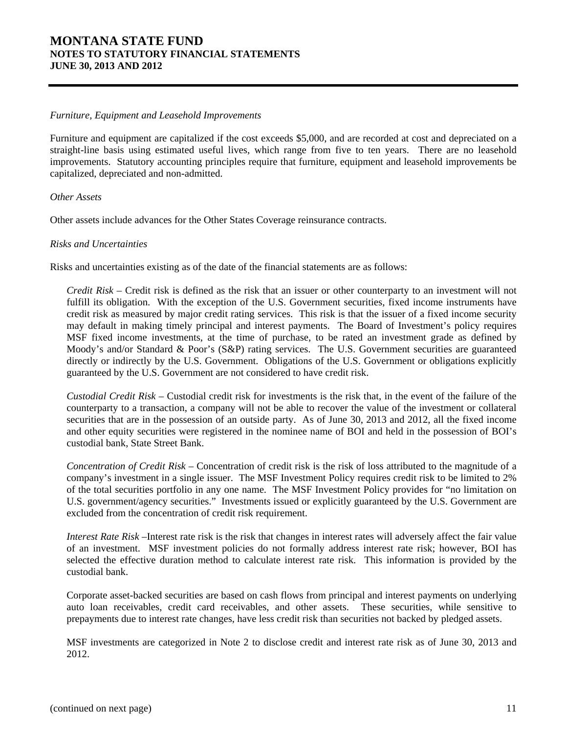#### *Furniture, Equipment and Leasehold Improvements*

Furniture and equipment are capitalized if the cost exceeds \$5,000, and are recorded at cost and depreciated on a straight-line basis using estimated useful lives, which range from five to ten years. There are no leasehold improvements. Statutory accounting principles require that furniture, equipment and leasehold improvements be capitalized, depreciated and non-admitted.

### *Other Assets*

Other assets include advances for the Other States Coverage reinsurance contracts.

#### *Risks and Uncertainties*

Risks and uncertainties existing as of the date of the financial statements are as follows:

*Credit Risk* – Credit risk is defined as the risk that an issuer or other counterparty to an investment will not fulfill its obligation. With the exception of the U.S. Government securities, fixed income instruments have credit risk as measured by major credit rating services. This risk is that the issuer of a fixed income security may default in making timely principal and interest payments. The Board of Investment's policy requires MSF fixed income investments, at the time of purchase, to be rated an investment grade as defined by Moody's and/or Standard & Poor's (S&P) rating services. The U.S. Government securities are guaranteed directly or indirectly by the U.S. Government. Obligations of the U.S. Government or obligations explicitly guaranteed by the U.S. Government are not considered to have credit risk.

*Custodial Credit Risk* – Custodial credit risk for investments is the risk that, in the event of the failure of the counterparty to a transaction, a company will not be able to recover the value of the investment or collateral securities that are in the possession of an outside party. As of June 30, 2013 and 2012, all the fixed income and other equity securities were registered in the nominee name of BOI and held in the possession of BOI's custodial bank, State Street Bank.

*Concentration of Credit Risk* – Concentration of credit risk is the risk of loss attributed to the magnitude of a company's investment in a single issuer. The MSF Investment Policy requires credit risk to be limited to 2% of the total securities portfolio in any one name. The MSF Investment Policy provides for "no limitation on U.S. government/agency securities." Investments issued or explicitly guaranteed by the U.S. Government are excluded from the concentration of credit risk requirement.

*Interest Rate Risk* –Interest rate risk is the risk that changes in interest rates will adversely affect the fair value of an investment. MSF investment policies do not formally address interest rate risk; however, BOI has selected the effective duration method to calculate interest rate risk. This information is provided by the custodial bank.

Corporate asset-backed securities are based on cash flows from principal and interest payments on underlying auto loan receivables, credit card receivables, and other assets. These securities, while sensitive to prepayments due to interest rate changes, have less credit risk than securities not backed by pledged assets.

MSF investments are categorized in Note 2 to disclose credit and interest rate risk as of June 30, 2013 and 2012.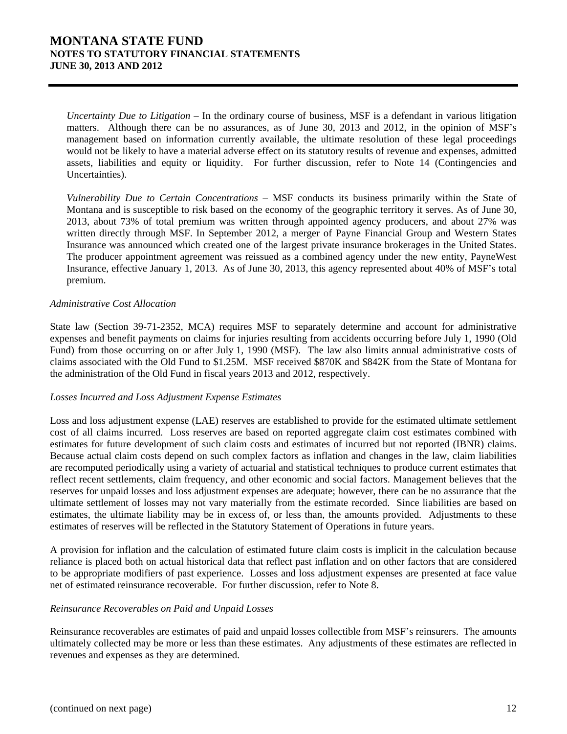*Uncertainty Due to Litigation* – In the ordinary course of business, MSF is a defendant in various litigation matters. Although there can be no assurances, as of June 30, 2013 and 2012, in the opinion of MSF's management based on information currently available, the ultimate resolution of these legal proceedings would not be likely to have a material adverse effect on its statutory results of revenue and expenses, admitted assets, liabilities and equity or liquidity. For further discussion, refer to Note 14 (Contingencies and Uncertainties).

*Vulnerability Due to Certain Concentrations* – MSF conducts its business primarily within the State of Montana and is susceptible to risk based on the economy of the geographic territory it serves. As of June 30, 2013, about 73% of total premium was written through appointed agency producers, and about 27% was written directly through MSF. In September 2012, a merger of Payne Financial Group and Western States Insurance was announced which created one of the largest private insurance brokerages in the United States. The producer appointment agreement was reissued as a combined agency under the new entity, PayneWest Insurance, effective January 1, 2013. As of June 30, 2013, this agency represented about 40% of MSF's total premium.

### *Administrative Cost Allocation*

State law (Section 39-71-2352, MCA) requires MSF to separately determine and account for administrative expenses and benefit payments on claims for injuries resulting from accidents occurring before July 1, 1990 (Old Fund) from those occurring on or after July 1, 1990 (MSF). The law also limits annual administrative costs of claims associated with the Old Fund to \$1.25M. MSF received \$870K and \$842K from the State of Montana for the administration of the Old Fund in fiscal years 2013 and 2012, respectively.

### *Losses Incurred and Loss Adjustment Expense Estimates*

Loss and loss adjustment expense (LAE) reserves are established to provide for the estimated ultimate settlement cost of all claims incurred. Loss reserves are based on reported aggregate claim cost estimates combined with estimates for future development of such claim costs and estimates of incurred but not reported (IBNR) claims. Because actual claim costs depend on such complex factors as inflation and changes in the law, claim liabilities are recomputed periodically using a variety of actuarial and statistical techniques to produce current estimates that reflect recent settlements, claim frequency, and other economic and social factors. Management believes that the reserves for unpaid losses and loss adjustment expenses are adequate; however, there can be no assurance that the ultimate settlement of losses may not vary materially from the estimate recorded. Since liabilities are based on estimates, the ultimate liability may be in excess of, or less than, the amounts provided. Adjustments to these estimates of reserves will be reflected in the Statutory Statement of Operations in future years.

A provision for inflation and the calculation of estimated future claim costs is implicit in the calculation because reliance is placed both on actual historical data that reflect past inflation and on other factors that are considered to be appropriate modifiers of past experience. Losses and loss adjustment expenses are presented at face value net of estimated reinsurance recoverable. For further discussion, refer to Note 8.

### *Reinsurance Recoverables on Paid and Unpaid Losses*

Reinsurance recoverables are estimates of paid and unpaid losses collectible from MSF's reinsurers. The amounts ultimately collected may be more or less than these estimates. Any adjustments of these estimates are reflected in revenues and expenses as they are determined.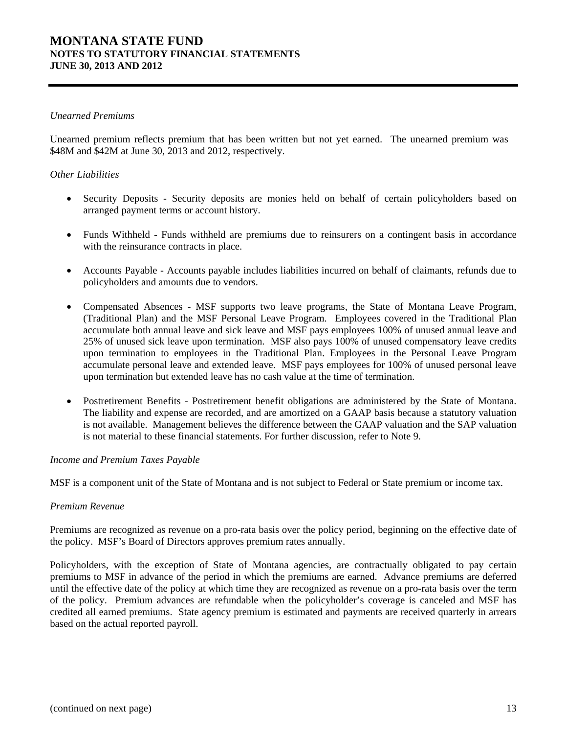#### *Unearned Premiums*

Unearned premium reflects premium that has been written but not yet earned. The unearned premium was \$48M and \$42M at June 30, 2013 and 2012, respectively.

### *Other Liabilities*

- Security Deposits Security deposits are monies held on behalf of certain policyholders based on arranged payment terms or account history.
- Funds Withheld Funds withheld are premiums due to reinsurers on a contingent basis in accordance with the reinsurance contracts in place.
- Accounts Payable Accounts payable includes liabilities incurred on behalf of claimants, refunds due to policyholders and amounts due to vendors.
- Compensated Absences MSF supports two leave programs, the State of Montana Leave Program, (Traditional Plan) and the MSF Personal Leave Program. Employees covered in the Traditional Plan accumulate both annual leave and sick leave and MSF pays employees 100% of unused annual leave and 25% of unused sick leave upon termination. MSF also pays 100% of unused compensatory leave credits upon termination to employees in the Traditional Plan. Employees in the Personal Leave Program accumulate personal leave and extended leave. MSF pays employees for 100% of unused personal leave upon termination but extended leave has no cash value at the time of termination.
- Postretirement Benefits Postretirement benefit obligations are administered by the State of Montana. The liability and expense are recorded, and are amortized on a GAAP basis because a statutory valuation is not available. Management believes the difference between the GAAP valuation and the SAP valuation is not material to these financial statements. For further discussion, refer to Note 9.

#### *Income and Premium Taxes Payable*

MSF is a component unit of the State of Montana and is not subject to Federal or State premium or income tax.

#### *Premium Revenue*

Premiums are recognized as revenue on a pro-rata basis over the policy period, beginning on the effective date of the policy. MSF's Board of Directors approves premium rates annually.

Policyholders, with the exception of State of Montana agencies, are contractually obligated to pay certain premiums to MSF in advance of the period in which the premiums are earned. Advance premiums are deferred until the effective date of the policy at which time they are recognized as revenue on a pro-rata basis over the term of the policy. Premium advances are refundable when the policyholder's coverage is canceled and MSF has credited all earned premiums. State agency premium is estimated and payments are received quarterly in arrears based on the actual reported payroll.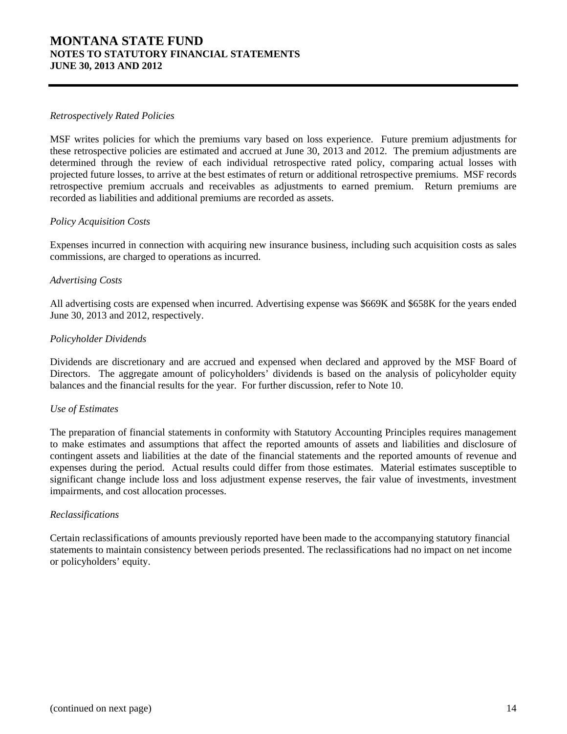#### *Retrospectively Rated Policies*

MSF writes policies for which the premiums vary based on loss experience. Future premium adjustments for these retrospective policies are estimated and accrued at June 30, 2013 and 2012. The premium adjustments are determined through the review of each individual retrospective rated policy, comparing actual losses with projected future losses, to arrive at the best estimates of return or additional retrospective premiums. MSF records retrospective premium accruals and receivables as adjustments to earned premium. Return premiums are recorded as liabilities and additional premiums are recorded as assets.

### *Policy Acquisition Costs*

Expenses incurred in connection with acquiring new insurance business, including such acquisition costs as sales commissions, are charged to operations as incurred.

### *Advertising Costs*

All advertising costs are expensed when incurred. Advertising expense was \$669K and \$658K for the years ended June 30, 2013 and 2012, respectively.

### *Policyholder Dividends*

Dividends are discretionary and are accrued and expensed when declared and approved by the MSF Board of Directors. The aggregate amount of policyholders' dividends is based on the analysis of policyholder equity balances and the financial results for the year. For further discussion, refer to Note 10.

#### *Use of Estimates*

The preparation of financial statements in conformity with Statutory Accounting Principles requires management to make estimates and assumptions that affect the reported amounts of assets and liabilities and disclosure of contingent assets and liabilities at the date of the financial statements and the reported amounts of revenue and expenses during the period. Actual results could differ from those estimates. Material estimates susceptible to significant change include loss and loss adjustment expense reserves, the fair value of investments, investment impairments, and cost allocation processes.

#### *Reclassifications*

Certain reclassifications of amounts previously reported have been made to the accompanying statutory financial statements to maintain consistency between periods presented. The reclassifications had no impact on net income or policyholders' equity.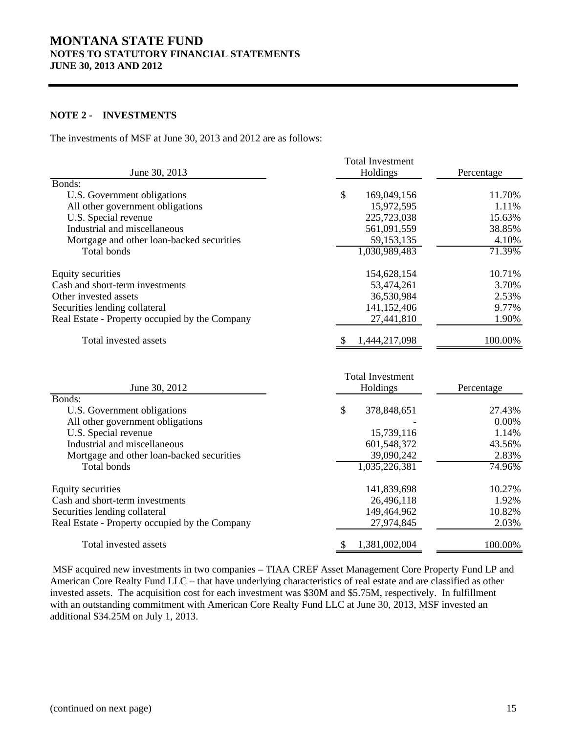### **NOTE 2 - INVESTMENTS**

The investments of MSF at June 30, 2013 and 2012 are as follows:

|                                                | <b>Total Investment</b>             |            |
|------------------------------------------------|-------------------------------------|------------|
| June 30, 2013<br>Holdings                      |                                     | Percentage |
| Bonds:                                         |                                     |            |
| U.S. Government obligations                    | \$<br>169,049,156                   | 11.70%     |
| All other government obligations               | 15,972,595                          | 1.11%      |
| U.S. Special revenue                           | 225,723,038                         | 15.63%     |
| Industrial and miscellaneous                   | 561,091,559                         | 38.85%     |
| Mortgage and other loan-backed securities      | 59,153,135                          | 4.10%      |
| <b>Total bonds</b>                             | 1,030,989,483                       | 71.39%     |
| Equity securities                              | 154,628,154                         | 10.71%     |
| Cash and short-term investments                | 53,474,261                          | 3.70%      |
| Other invested assets                          | 36,530,984                          | 2.53%      |
| Securities lending collateral                  | 141,152,406                         | 9.77%      |
| Real Estate - Property occupied by the Company | 27,441,810                          | 1.90%      |
| Total invested assets                          | 1,444,217,098                       | 100.00%    |
| June 30, 2012                                  | <b>Total Investment</b><br>Holdings | Percentage |
| Bonds:                                         |                                     |            |
| U.S. Government obligations                    | \$<br>378,848,651                   | 27.43%     |
| All other government obligations               |                                     | 0.00%      |
| U.S. Special revenue                           | 15,739,116                          | 1.14%      |
| Industrial and miscellaneous                   | 601,548,372                         | 43.56%     |
| Mortgage and other loan-backed securities      | 39,090,242                          | 2.83%      |
| Total bonds                                    | 1,035,226,381                       | 74.96%     |
| <b>Equity securities</b>                       | 141,839,698                         | 10.27%     |
| Cash and short-term investments                | 26,496,118                          | 1.92%      |
| Securities lending collateral                  | 149,464,962                         | 10.82%     |
| Real Estate - Property occupied by the Company | 27,974,845                          | 2.03%      |
| Total invested assets                          | \$<br>1,381,002,004                 | 100.00%    |

 MSF acquired new investments in two companies – TIAA CREF Asset Management Core Property Fund LP and American Core Realty Fund LLC – that have underlying characteristics of real estate and are classified as other invested assets. The acquisition cost for each investment was \$30M and \$5.75M, respectively. In fulfillment with an outstanding commitment with American Core Realty Fund LLC at June 30, 2013, MSF invested an additional \$34.25M on July 1, 2013.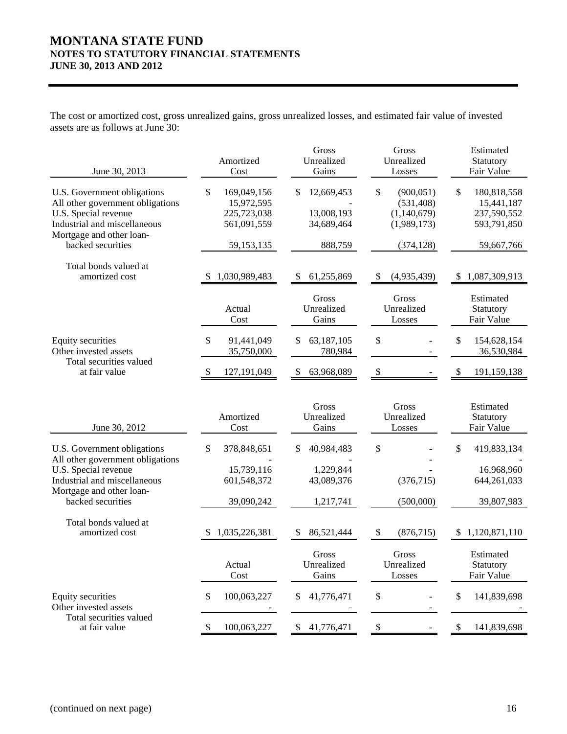The cost or amortized cost, gross unrealized gains, gross unrealized losses, and estimated fair value of invested assets are as follows at June 30:

| June 30, 2013                                                                                                                                       | Amortized<br>Cost                                             | Gross<br>Unrealized<br>Gains                | Gross<br>Unrealized<br>Losses                                | Estimated<br>Statutory<br>Fair Value                          |
|-----------------------------------------------------------------------------------------------------------------------------------------------------|---------------------------------------------------------------|---------------------------------------------|--------------------------------------------------------------|---------------------------------------------------------------|
| U.S. Government obligations<br>All other government obligations<br>U.S. Special revenue<br>Industrial and miscellaneous<br>Mortgage and other loan- | 169,049,156<br>\$<br>15,972,595<br>225,723,038<br>561,091,559 | 12,669,453<br>S<br>13,008,193<br>34,689,464 | \$<br>(900, 051)<br>(531, 408)<br>(1,140,679)<br>(1,989,173) | \$<br>180,818,558<br>15,441,187<br>237,590,552<br>593,791,850 |
| backed securities                                                                                                                                   | 59,153,135                                                    | 888,759                                     | (374, 128)                                                   | 59,667,766                                                    |
| Total bonds valued at<br>amortized cost                                                                                                             | 1,030,989,483                                                 | 61,255,869<br>S                             | (4,935,439)<br>S                                             | 1,087,309,913<br><sup>\$</sup>                                |
|                                                                                                                                                     | Actual<br>Cost                                                | Gross<br>Unrealized<br>Gains                | Gross<br>Unrealized<br>Losses                                | Estimated<br>Statutory<br>Fair Value                          |
| Equity securities<br>Other invested assets                                                                                                          | \$<br>91,441,049<br>35,750,000                                | 63,187,105<br>\$<br>780,984                 | \$                                                           | \$<br>154,628,154<br>36,530,984                               |
| Total securities valued<br>at fair value                                                                                                            | 127,191,049                                                   | \$<br>63,968,089                            | \$                                                           | \$<br>191,159,138                                             |
| June 30, 2012                                                                                                                                       | Amortized<br>Cost                                             | Gross<br>Unrealized<br>Gains                | Gross<br>Unrealized<br>Losses                                | Estimated<br>Statutory<br>Fair Value                          |
| U.S. Government obligations                                                                                                                         | 378,848,651<br>\$                                             | 40,984,483<br>S.                            | \$                                                           | \$<br>419,833,134                                             |
| All other government obligations<br>U.S. Special revenue<br>Industrial and miscellaneous<br>Mortgage and other loan-                                | 15,739,116<br>601,548,372                                     | 1,229,844<br>43,089,376                     | (376, 715)                                                   | 16,968,960<br>644,261,033                                     |
| backed securities                                                                                                                                   | 39,090,242                                                    | 1,217,741                                   | (500,000)                                                    | 39,807,983                                                    |
| Total bonds valued at<br>amortized cost                                                                                                             | 1,035,226,381                                                 | 86,521,444<br>S                             | (876, 715)<br>\$                                             | 1,120,871,110<br>S                                            |
|                                                                                                                                                     | Actual<br>Cost                                                | Gross<br>Unrealized<br>Gains                | Gross<br>Unrealized<br>Losses                                | Estimated<br>Statutory<br>Fair Value                          |
| <b>Equity securities</b><br>Other invested assets                                                                                                   | 100,063,227<br>\$                                             | 41,776,471<br>\$                            | \$                                                           | \$<br>141,839,698                                             |
| Total securities valued<br>at fair value                                                                                                            | 100,063,227                                                   | 41,776,471<br>\$                            | $\boldsymbol{\$}$                                            | \$<br>141,839,698                                             |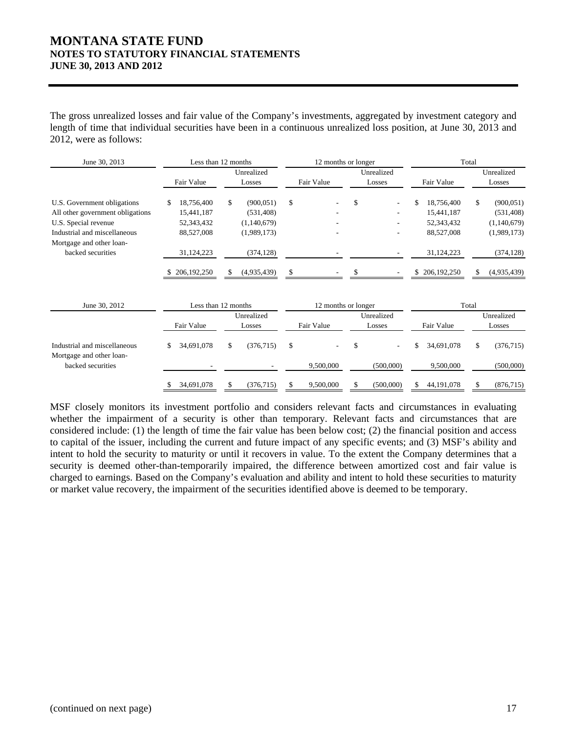The gross unrealized losses and fair value of the Company's investments, aggregated by investment category and length of time that individual securities have been in a continuous unrealized loss position, at June 30, 2013 and 2012, were as follows:

| June 30, 2013                                                                                                                                       |                                                             | Less than 12 months                                          |                           | 12 months or longer            |                                                            | Total                                                        |
|-----------------------------------------------------------------------------------------------------------------------------------------------------|-------------------------------------------------------------|--------------------------------------------------------------|---------------------------|--------------------------------|------------------------------------------------------------|--------------------------------------------------------------|
|                                                                                                                                                     | Fair Value                                                  | Unrealized<br>Losses                                         | Fair Value                | Unrealized<br>Losses           | Fair Value                                                 | Unrealized<br>Losses                                         |
| U.S. Government obligations<br>All other government obligations<br>U.S. Special revenue<br>Industrial and miscellaneous<br>Mortgage and other loan- | 18,756,400<br>\$.<br>15,441,187<br>52,343,432<br>88,527,008 | \$<br>(900, 051)<br>(531, 408)<br>(1,140,679)<br>(1,989,173) | \$                        | \$<br>$\overline{\phantom{a}}$ | \$<br>18,756,400<br>15,441,187<br>52,343,432<br>88,527,008 | (900, 051)<br>\$<br>(531, 408)<br>(1,140,679)<br>(1,989,173) |
| backed securities                                                                                                                                   | 31,124,223<br>206, 192, 250                                 | (374, 128)<br>\$<br>(4,935,439)                              |                           |                                | 31,124,223<br>206, 192, 250<br>S                           | (374, 128)<br>(4,935,439)<br>S                               |
| June 30, 2012                                                                                                                                       |                                                             | Less than 12 months                                          |                           | 12 months or longer            |                                                            | Total                                                        |
|                                                                                                                                                     | Fair Value                                                  | Unrealized<br>Losses                                         | Fair Value                | Unrealized<br>Losses           | Fair Value                                                 | Unrealized<br>Losses                                         |
| Industrial and miscellaneous<br>Mortgage and other loan-<br>backed securities                                                                       | 34,691,078<br>\$                                            | \$<br>(376, 715)                                             | $\mathbb{S}$<br>9,500,000 | \$<br>(500,000)                | \$<br>34,691,078<br>9,500,000                              | (376, 715)<br>\$<br>(500,000)                                |

MSF closely monitors its investment portfolio and considers relevant facts and circumstances in evaluating whether the impairment of a security is other than temporary. Relevant facts and circumstances that are considered include: (1) the length of time the fair value has been below cost; (2) the financial position and access to capital of the issuer, including the current and future impact of any specific events; and (3) MSF's ability and intent to hold the security to maturity or until it recovers in value. To the extent the Company determines that a security is deemed other-than-temporarily impaired, the difference between amortized cost and fair value is charged to earnings. Based on the Company's evaluation and ability and intent to hold these securities to maturity or market value recovery, the impairment of the securities identified above is deemed to be temporary.

\$ (376,715) 34,691,078 \$ 9,500,000 \$ (500,000) \$ 44,191,078 \$ (876,715) \$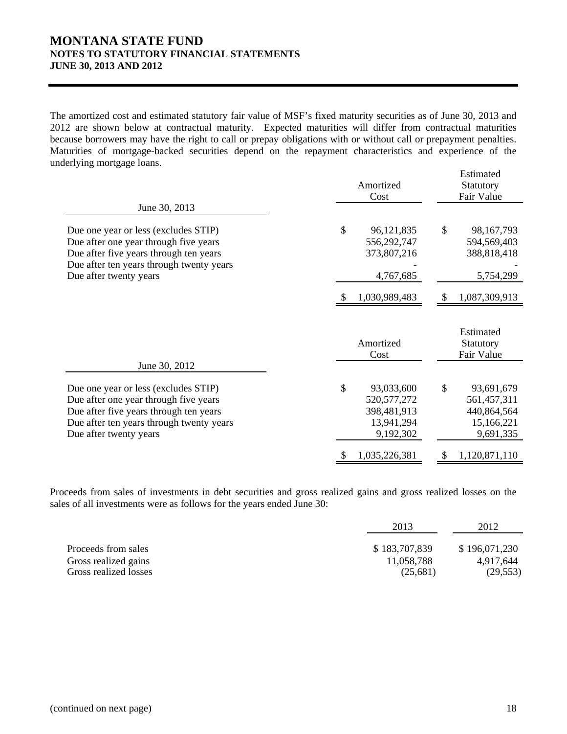The amortized cost and estimated statutory fair value of MSF's fixed maturity securities as of June 30, 2013 and 2012 are shown below at contractual maturity. Expected maturities will differ from contractual maturities because borrowers may have the right to call or prepay obligations with or without call or prepayment penalties. Maturities of mortgage-backed securities depend on the repayment characteristics and experience of the underlying mortgage loans.

|                                                                                                                                                                                               | Amortized<br>Cost                                                           | Estimated<br>Statutory<br>Fair Value                                      |  |
|-----------------------------------------------------------------------------------------------------------------------------------------------------------------------------------------------|-----------------------------------------------------------------------------|---------------------------------------------------------------------------|--|
| June 30, 2013                                                                                                                                                                                 |                                                                             |                                                                           |  |
| Due one year or less (excludes STIP)<br>Due after one year through five years<br>Due after five years through ten years<br>Due after ten years through twenty years                           | \$<br>96,121,835<br>556,292,747<br>373,807,216                              | \$<br>98,167,793<br>594,569,403<br>388,818,418                            |  |
| Due after twenty years                                                                                                                                                                        | 4,767,685                                                                   | 5,754,299                                                                 |  |
|                                                                                                                                                                                               | 1,030,989,483                                                               | 1,087,309,913                                                             |  |
|                                                                                                                                                                                               | Amortized<br>Cost                                                           | Estimated<br>Statutory<br>Fair Value                                      |  |
| June 30, 2012                                                                                                                                                                                 |                                                                             |                                                                           |  |
| Due one year or less (excludes STIP)<br>Due after one year through five years<br>Due after five years through ten years<br>Due after ten years through twenty years<br>Due after twenty years | \$<br>93,033,600<br>520, 577, 272<br>398,481,913<br>13,941,294<br>9,192,302 | \$<br>93,691,679<br>561,457,311<br>440,864,564<br>15,166,221<br>9,691,335 |  |
|                                                                                                                                                                                               |                                                                             |                                                                           |  |

Proceeds from sales of investments in debt securities and gross realized gains and gross realized losses on the sales of all investments were as follows for the years ended June 30:

|                       | 2013          | 2012          |
|-----------------------|---------------|---------------|
| Proceeds from sales   | \$183,707,839 | \$196,071,230 |
| Gross realized gains  | 11,058,788    | 4.917.644     |
| Gross realized losses | (25,681)      | (29, 553)     |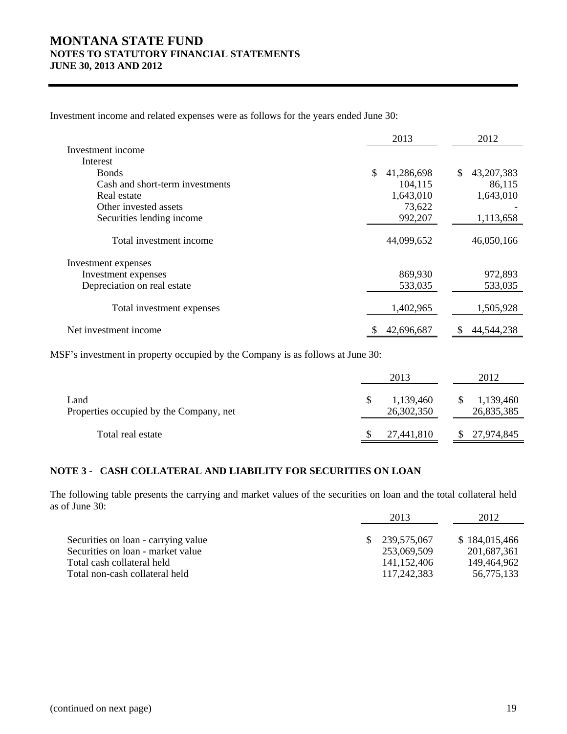Investment income and related expenses were as follows for the years ended June 30:

|                                 | 2013             | 2012               |
|---------------------------------|------------------|--------------------|
| Investment income               |                  |                    |
| Interest                        |                  |                    |
| <b>Bonds</b>                    | \$<br>41,286,698 | 43, 207, 383<br>\$ |
| Cash and short-term investments | 104,115          | 86,115             |
| Real estate                     | 1,643,010        | 1,643,010          |
| Other invested assets           | 73,622           |                    |
| Securities lending income       | 992,207          | 1,113,658          |
| Total investment income         | 44,099,652       | 46,050,166         |
| Investment expenses             |                  |                    |
| Investment expenses             | 869,930          | 972,893            |
| Depreciation on real estate     | 533,035          | 533,035            |
| Total investment expenses       | 1,402,965        | 1,505,928          |
| Net investment income           | 42,696,687<br>\$ | 44,544,238<br>S    |

MSF's investment in property occupied by the Company is as follows at June 30:

|                                                 | 2013                    | 2012                          |
|-------------------------------------------------|-------------------------|-------------------------------|
| Land<br>Properties occupied by the Company, net | 1,139,460<br>26,302,350 | 1,139,460<br>\$<br>26,835,385 |
| Total real estate                               | 27,441,810              | 27,974,845                    |

### **NOTE 3 - CASH COLLATERAL AND LIABILITY FOR SECURITIES ON LOAN**

The following table presents the carrying and market values of the securities on loan and the total collateral held as of June 30:

|                                     | 2013 |               | 2012          |  |
|-------------------------------------|------|---------------|---------------|--|
| Securities on loan - carrying value |      | \$239,575,067 | \$184,015,466 |  |
| Securities on loan - market value   |      | 253,069,509   | 201,687,361   |  |
| Total cash collateral held          |      | 141,152,406   | 149,464,962   |  |
| Total non-cash collateral held      |      | 117,242,383   | 56,775,133    |  |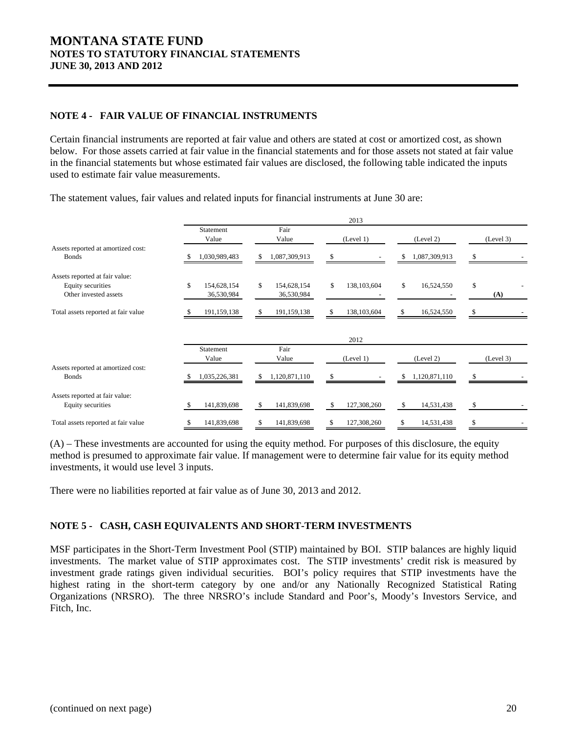### **NOTE 4 - FAIR VALUE OF FINANCIAL INSTRUMENTS**

Certain financial instruments are reported at fair value and others are stated at cost or amortized cost, as shown below. For those assets carried at fair value in the financial statements and for those assets not stated at fair value in the financial statements but whose estimated fair values are disclosed, the following table indicated the inputs used to estimate fair value measurements.

Statement Fair Value Value (Level 1) (Level 2) (Level 3) Assets reported at amortized cost: Bonds 1,030,989,483 \$ 1,087,309,913 \$ - \$ 1,087,309,913 \$ - \$ Assets reported at fair value: Equity securities  $$154,628,154 $5154,628,154 $5138,103,604 $16,524,550 $$ Other invested assets **36,530,984** 36,530,984 36,530,984 (A) Total assets reported at fair value 191,159,138 \$ 191,159,138 \$ 191,159,138 \$ 138,103,604 \$ 16,524,550 \$ Statement Fair Value Value (Level 1) (Level 2) (Level 3) Assets reported at amortized cost: Bonds 1,035,226,381 \$ 1,120,871,110 \$ - \$ 1,120,871,110 \$ - \$ Assets reported at fair value: Equity securities 5 141,839,698 \$ 141,839,698 \$ 127,308,260 \$ 14,531,438 \$ Total assets reported at fair value  $$ 141,839,698 \qquad $ 141,839,698 \qquad $ 127,308,260 \qquad $ 14,531,438$ 2013 2012

The statement values, fair values and related inputs for financial instruments at June 30 are:

(A) – These investments are accounted for using the equity method. For purposes of this disclosure, the equity method is presumed to approximate fair value. If management were to determine fair value for its equity method investments, it would use level 3 inputs.

There were no liabilities reported at fair value as of June 30, 2013 and 2012.

#### **NOTE 5 - CASH, CASH EQUIVALENTS AND SHORT-TERM INVESTMENTS**

MSF participates in the Short-Term Investment Pool (STIP) maintained by BOI. STIP balances are highly liquid investments. The market value of STIP approximates cost. The STIP investments' credit risk is measured by investment grade ratings given individual securities. BOI's policy requires that STIP investments have the highest rating in the short-term category by one and/or any Nationally Recognized Statistical Rating Organizations (NRSRO). The three NRSRO's include Standard and Poor's, Moody's Investors Service, and Fitch, Inc.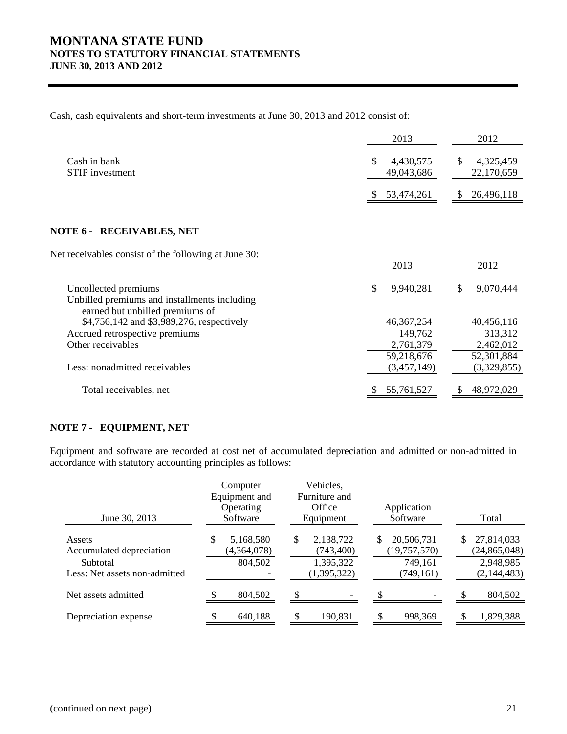Cash, cash equivalents and short-term investments at June 30, 2013 and 2012 consist of:

|                                                                                                         | 2013                         | 2012                         |
|---------------------------------------------------------------------------------------------------------|------------------------------|------------------------------|
| Cash in bank<br><b>STIP</b> investment                                                                  | 4,430,575<br>S<br>49,043,686 | 4,325,459<br>S<br>22,170,659 |
|                                                                                                         | 53,474,261                   | 26,496,118<br>S              |
|                                                                                                         |                              |                              |
| <b>NOTE 6 - RECEIVABLES, NET</b>                                                                        |                              |                              |
| Net receivables consist of the following at June 30:                                                    | 2013                         | 2012                         |
| Uncollected premiums<br>Unbilled premiums and installments including<br>earned but unbilled premiums of | \$<br>9,940,281              | 9,070,444<br>\$              |
| \$4,756,142 and \$3,989,276, respectively                                                               | 46, 367, 254                 | 40,456,116                   |
| Accrued retrospective premiums                                                                          | 149,762                      | 313,312                      |
| Other receivables                                                                                       | 2,761,379                    | 2,462,012                    |
|                                                                                                         | 59,218,676                   | 52,301,884                   |
| Less: nonadmitted receivables                                                                           | (3, 457, 149)                | (3,329,855)                  |
| Total receivables, net                                                                                  | 55,761,527                   | 48,972,029                   |

### **NOTE 7 - EQUIPMENT, NET**

Equipment and software are recorded at cost net of accumulated depreciation and admitted or non-admitted in accordance with statutory accounting principles as follows:

| June 30, 2013                             | Computer<br>Equipment and<br>Operating<br>Software | Vehicles,<br>Furniture and<br>Office<br>Equipment | Application<br>Software             | Total                             |
|-------------------------------------------|----------------------------------------------------|---------------------------------------------------|-------------------------------------|-----------------------------------|
| Assets<br>Accumulated depreciation        | \$<br>5,168,580<br>(4,364,078)                     | \$<br>2,138,722<br>(743, 400)                     | 20,506,731<br>\$.<br>(19, 757, 570) | S<br>27,814,033<br>(24, 865, 048) |
| Subtotal<br>Less: Net assets non-admitted | 804,502                                            | 1,395,322<br>(1,395,322)                          | 749,161<br>(749, 161)               | 2,948,985<br>(2,144,483)          |
| Net assets admitted                       | 804,502                                            |                                                   |                                     | 804,502                           |
| Depreciation expense                      | 640,188                                            | 190,831                                           | 998,369                             | 1,829,388                         |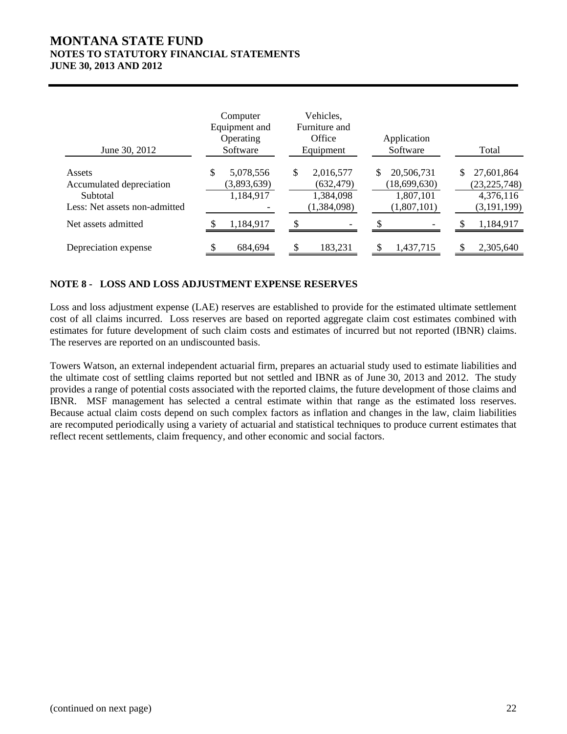| June 30, 2012                                                                   | Computer<br>Equipment and<br>Operating<br>Software | Vehicles,<br>Furniture and<br>Office<br>Equipment         | Application<br>Software                                      | Total                                                            |
|---------------------------------------------------------------------------------|----------------------------------------------------|-----------------------------------------------------------|--------------------------------------------------------------|------------------------------------------------------------------|
| Assets<br>Accumulated depreciation<br>Subtotal<br>Less: Net assets non-admitted | 5,078,556<br>\$<br>(3,893,639)<br>1,184,917        | \$<br>2,016,577<br>(632, 479)<br>1,384,098<br>(1,384,098) | \$<br>20,506,731<br>(18,699,630)<br>1,807,101<br>(1,807,101) | 27,601,864<br>\$<br>(23, 225, 748)<br>4,376,116<br>(3, 191, 199) |
| Net assets admitted                                                             | 1,184,917                                          |                                                           |                                                              | 1,184,917                                                        |
| Depreciation expense                                                            | 684,694                                            | \$.<br>183,231                                            | 1,437,715                                                    | 2,305,640                                                        |

### **NOTE 8 - LOSS AND LOSS ADJUSTMENT EXPENSE RESERVES**

Loss and loss adjustment expense (LAE) reserves are established to provide for the estimated ultimate settlement cost of all claims incurred. Loss reserves are based on reported aggregate claim cost estimates combined with estimates for future development of such claim costs and estimates of incurred but not reported (IBNR) claims. The reserves are reported on an undiscounted basis.

Towers Watson, an external independent actuarial firm, prepares an actuarial study used to estimate liabilities and the ultimate cost of settling claims reported but not settled and IBNR as of June 30, 2013 and 2012. The study provides a range of potential costs associated with the reported claims, the future development of those claims and IBNR. MSF management has selected a central estimate within that range as the estimated loss reserves. Because actual claim costs depend on such complex factors as inflation and changes in the law, claim liabilities are recomputed periodically using a variety of actuarial and statistical techniques to produce current estimates that reflect recent settlements, claim frequency, and other economic and social factors.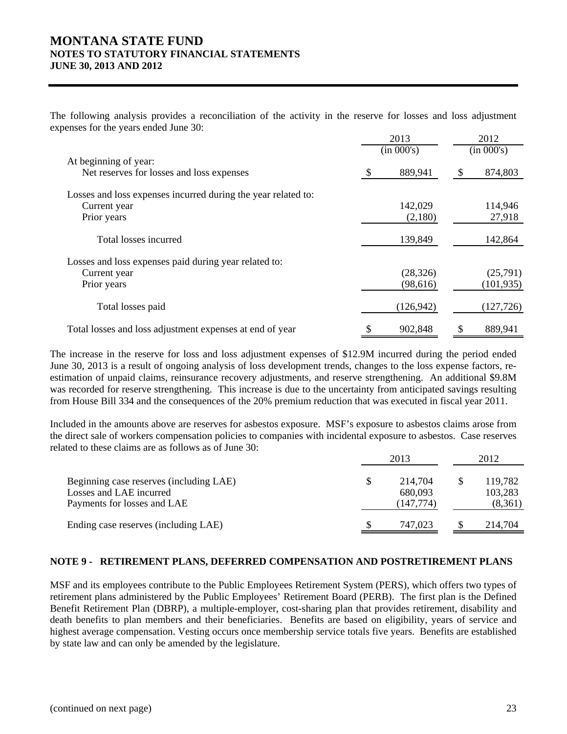The following analysis provides a reconciliation of the activity in the reserve for losses and loss adjustment expenses for the years ended June 30:

|                                                                                              | 2013 |                        | 2012 |                        |
|----------------------------------------------------------------------------------------------|------|------------------------|------|------------------------|
|                                                                                              |      | (in 000's)             |      | (in 000's)             |
| At beginning of year:<br>Net reserves for losses and loss expenses                           |      | 889,941                | \$   | 874,803                |
| Losses and loss expenses incurred during the year related to:<br>Current year<br>Prior years |      | 142,029<br>(2,180)     |      | 114,946<br>27,918      |
| Total losses incurred                                                                        |      | 139,849                |      | 142,864                |
| Losses and loss expenses paid during year related to:<br>Current year<br>Prior years         |      | (28, 326)<br>(98, 616) |      | (25,791)<br>(101, 935) |
| Total losses paid                                                                            |      | (126, 942)             |      | (127, 726)             |
| Total losses and loss adjustment expenses at end of year                                     | \$   | 902,848                | \$   | 889,941                |

The increase in the reserve for loss and loss adjustment expenses of \$12.9M incurred during the period ended June 30, 2013 is a result of ongoing analysis of loss development trends, changes to the loss expense factors, reestimation of unpaid claims, reinsurance recovery adjustments, and reserve strengthening. An additional \$9.8M was recorded for reserve strengthening. This increase is due to the uncertainty from anticipated savings resulting from House Bill 334 and the consequences of the 20% premium reduction that was executed in fiscal year 2011.

Included in the amounts above are reserves for asbestos exposure. MSF's exposure to asbestos claims arose from the direct sale of workers compensation policies to companies with incidental exposure to asbestos. Case reserves related to these claims are as follows as of June 30:

|                                                                                                   | 2013 |                                  | 2012 |                               |
|---------------------------------------------------------------------------------------------------|------|----------------------------------|------|-------------------------------|
| Beginning case reserves (including LAE)<br>Losses and LAE incurred<br>Payments for losses and LAE | S    | 214,704<br>680,093<br>(147, 774) | -S   | 119,782<br>103,283<br>(8,361) |
| Ending case reserves (including LAE)                                                              |      | 747.023                          |      | 214,704                       |

#### **NOTE 9 - RETIREMENT PLANS, DEFERRED COMPENSATION AND POSTRETIREMENT PLANS**

MSF and its employees contribute to the Public Employees Retirement System (PERS), which offers two types of retirement plans administered by the Public Employees' Retirement Board (PERB). The first plan is the Defined Benefit Retirement Plan (DBRP), a multiple-employer, cost-sharing plan that provides retirement, disability and death benefits to plan members and their beneficiaries. Benefits are based on eligibility, years of service and highest average compensation. Vesting occurs once membership service totals five years. Benefits are established by state law and can only be amended by the legislature.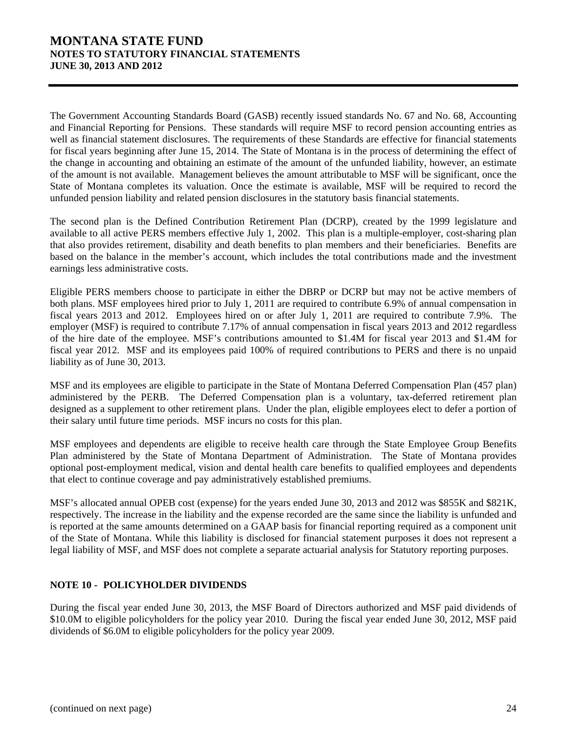The Government Accounting Standards Board (GASB) recently issued standards No. 67 and No. 68, Accounting and Financial Reporting for Pensions. These standards will require MSF to record pension accounting entries as well as financial statement disclosures. The requirements of these Standards are effective for financial statements for fiscal years beginning after June 15, 2014. The State of Montana is in the process of determining the effect of the change in accounting and obtaining an estimate of the amount of the unfunded liability, however, an estimate of the amount is not available. Management believes the amount attributable to MSF will be significant, once the State of Montana completes its valuation. Once the estimate is available, MSF will be required to record the unfunded pension liability and related pension disclosures in the statutory basis financial statements.

The second plan is the Defined Contribution Retirement Plan (DCRP), created by the 1999 legislature and available to all active PERS members effective July 1, 2002. This plan is a multiple-employer, cost-sharing plan that also provides retirement, disability and death benefits to plan members and their beneficiaries. Benefits are based on the balance in the member's account, which includes the total contributions made and the investment earnings less administrative costs.

Eligible PERS members choose to participate in either the DBRP or DCRP but may not be active members of both plans. MSF employees hired prior to July 1, 2011 are required to contribute 6.9% of annual compensation in fiscal years 2013 and 2012. Employees hired on or after July 1, 2011 are required to contribute 7.9%. The employer (MSF) is required to contribute 7.17% of annual compensation in fiscal years 2013 and 2012 regardless of the hire date of the employee. MSF's contributions amounted to \$1.4M for fiscal year 2013 and \$1.4M for fiscal year 2012. MSF and its employees paid 100% of required contributions to PERS and there is no unpaid liability as of June 30, 2013.

MSF and its employees are eligible to participate in the State of Montana Deferred Compensation Plan (457 plan) administered by the PERB. The Deferred Compensation plan is a voluntary, tax-deferred retirement plan designed as a supplement to other retirement plans. Under the plan, eligible employees elect to defer a portion of their salary until future time periods. MSF incurs no costs for this plan.

MSF employees and dependents are eligible to receive health care through the State Employee Group Benefits Plan administered by the State of Montana Department of Administration. The State of Montana provides optional post-employment medical, vision and dental health care benefits to qualified employees and dependents that elect to continue coverage and pay administratively established premiums.

MSF's allocated annual OPEB cost (expense) for the years ended June 30, 2013 and 2012 was \$855K and \$821K, respectively. The increase in the liability and the expense recorded are the same since the liability is unfunded and is reported at the same amounts determined on a GAAP basis for financial reporting required as a component unit of the State of Montana. While this liability is disclosed for financial statement purposes it does not represent a legal liability of MSF, and MSF does not complete a separate actuarial analysis for Statutory reporting purposes.

### **NOTE 10 - POLICYHOLDER DIVIDENDS**

During the fiscal year ended June 30, 2013, the MSF Board of Directors authorized and MSF paid dividends of \$10.0M to eligible policyholders for the policy year 2010. During the fiscal year ended June 30, 2012, MSF paid dividends of \$6.0M to eligible policyholders for the policy year 2009.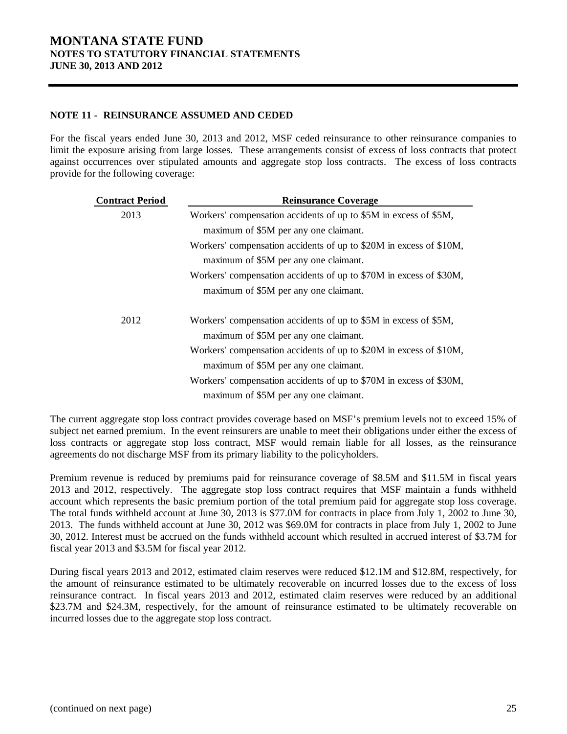### **NOTE 11 - REINSURANCE ASSUMED AND CEDED**

For the fiscal years ended June 30, 2013 and 2012, MSF ceded reinsurance to other reinsurance companies to limit the exposure arising from large losses. These arrangements consist of excess of loss contracts that protect against occurrences over stipulated amounts and aggregate stop loss contracts. The excess of loss contracts provide for the following coverage:

| <b>Contract Period</b> | <b>Reinsurance Coverage</b>                                                                                 |
|------------------------|-------------------------------------------------------------------------------------------------------------|
| 2013                   | Workers' compensation accidents of up to \$5M in excess of \$5M,                                            |
|                        | maximum of \$5M per any one claimant.                                                                       |
|                        | Workers' compensation accidents of up to \$20M in excess of \$10M,                                          |
|                        | maximum of \$5M per any one claimant.                                                                       |
|                        | Workers' compensation accidents of up to \$70M in excess of \$30M,                                          |
|                        | maximum of \$5M per any one claimant.                                                                       |
| 2012                   | Workers' compensation accidents of up to \$5M in excess of \$5M,<br>maximum of \$5M per any one claimant.   |
|                        | Workers' compensation accidents of up to \$20M in excess of \$10M,<br>maximum of \$5M per any one claimant. |
|                        | Workers' compensation accidents of up to \$70M in excess of \$30M,                                          |
|                        | maximum of \$5M per any one claimant.                                                                       |

The current aggregate stop loss contract provides coverage based on MSF's premium levels not to exceed 15% of subject net earned premium. In the event reinsurers are unable to meet their obligations under either the excess of loss contracts or aggregate stop loss contract, MSF would remain liable for all losses, as the reinsurance agreements do not discharge MSF from its primary liability to the policyholders.

Premium revenue is reduced by premiums paid for reinsurance coverage of \$8.5M and \$11.5M in fiscal years 2013 and 2012, respectively. The aggregate stop loss contract requires that MSF maintain a funds withheld account which represents the basic premium portion of the total premium paid for aggregate stop loss coverage. The total funds withheld account at June 30, 2013 is \$77.0M for contracts in place from July 1, 2002 to June 30, 2013. The funds withheld account at June 30, 2012 was \$69.0M for contracts in place from July 1, 2002 to June 30, 2012. Interest must be accrued on the funds withheld account which resulted in accrued interest of \$3.7M for fiscal year 2013 and \$3.5M for fiscal year 2012.

During fiscal years 2013 and 2012, estimated claim reserves were reduced \$12.1M and \$12.8M, respectively, for the amount of reinsurance estimated to be ultimately recoverable on incurred losses due to the excess of loss reinsurance contract. In fiscal years 2013 and 2012, estimated claim reserves were reduced by an additional \$23.7M and \$24.3M, respectively, for the amount of reinsurance estimated to be ultimately recoverable on incurred losses due to the aggregate stop loss contract.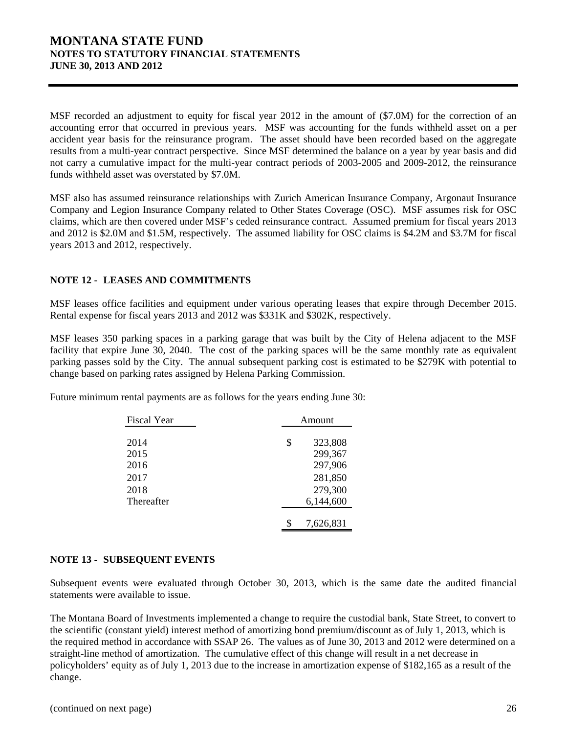MSF recorded an adjustment to equity for fiscal year 2012 in the amount of (\$7.0M) for the correction of an accounting error that occurred in previous years. MSF was accounting for the funds withheld asset on a per accident year basis for the reinsurance program. The asset should have been recorded based on the aggregate results from a multi-year contract perspective. Since MSF determined the balance on a year by year basis and did not carry a cumulative impact for the multi-year contract periods of 2003-2005 and 2009-2012, the reinsurance funds withheld asset was overstated by \$7.0M.

MSF also has assumed reinsurance relationships with Zurich American Insurance Company, Argonaut Insurance Company and Legion Insurance Company related to Other States Coverage (OSC). MSF assumes risk for OSC claims, which are then covered under MSF's ceded reinsurance contract. Assumed premium for fiscal years 2013 and 2012 is \$2.0M and \$1.5M, respectively. The assumed liability for OSC claims is \$4.2M and \$3.7M for fiscal years 2013 and 2012, respectively.

### **NOTE 12 - LEASES AND COMMITMENTS**

MSF leases office facilities and equipment under various operating leases that expire through December 2015. Rental expense for fiscal years 2013 and 2012 was \$331K and \$302K, respectively.

MSF leases 350 parking spaces in a parking garage that was built by the City of Helena adjacent to the MSF facility that expire June 30, 2040. The cost of the parking spaces will be the same monthly rate as equivalent parking passes sold by the City. The annual subsequent parking cost is estimated to be \$279K with potential to change based on parking rates assigned by Helena Parking Commission.

Future minimum rental payments are as follows for the years ending June 30:

| <b>Fiscal Year</b> | Amount        |  |  |
|--------------------|---------------|--|--|
|                    |               |  |  |
| 2014               | \$<br>323,808 |  |  |
| 2015               | 299,367       |  |  |
| 2016               | 297,906       |  |  |
| 2017               | 281,850       |  |  |
| 2018               | 279,300       |  |  |
| Thereafter         | 6,144,600     |  |  |
|                    |               |  |  |
|                    | 7,626,831     |  |  |

#### **NOTE 13 - SUBSEQUENT EVENTS**

Subsequent events were evaluated through October 30, 2013, which is the same date the audited financial statements were available to issue.

The Montana Board of Investments implemented a change to require the custodial bank, State Street, to convert to the scientific (constant yield) interest method of amortizing bond premium/discount as of July 1, 2013, which is the required method in accordance with SSAP 26. The values as of June 30, 2013 and 2012 were determined on a straight-line method of amortization. The cumulative effect of this change will result in a net decrease in policyholders' equity as of July 1, 2013 due to the increase in amortization expense of \$182,165 as a result of the change.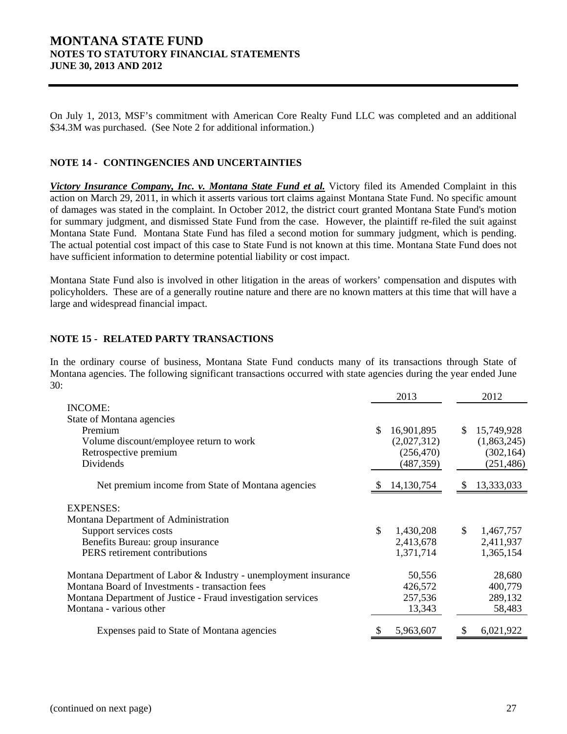On July 1, 2013, MSF's commitment with American Core Realty Fund LLC was completed and an additional \$34.3M was purchased. (See Note 2 for additional information.)

### **NOTE 14 - CONTINGENCIES AND UNCERTAINTIES**

*Victory Insurance Company, Inc. v. Montana State Fund et al.* Victory filed its Amended Complaint in this action on March 29, 2011, in which it asserts various tort claims against Montana State Fund. No specific amount of damages was stated in the complaint. In October 2012, the district court granted Montana State Fund's motion for summary judgment, and dismissed State Fund from the case. However, the plaintiff re-filed the suit against Montana State Fund. Montana State Fund has filed a second motion for summary judgment, which is pending. The actual potential cost impact of this case to State Fund is not known at this time. Montana State Fund does not have sufficient information to determine potential liability or cost impact.

Montana State Fund also is involved in other litigation in the areas of workers' compensation and disputes with policyholders. These are of a generally routine nature and there are no known matters at this time that will have a large and widespread financial impact.

### **NOTE 15 - RELATED PARTY TRANSACTIONS**

In the ordinary course of business, Montana State Fund conducts many of its transactions through State of Montana agencies. The following significant transactions occurred with state agencies during the year ended June 30:

|                                                                 | 2013             |    | 2012        |
|-----------------------------------------------------------------|------------------|----|-------------|
| INCOME:                                                         |                  |    |             |
| State of Montana agencies                                       |                  |    |             |
| Premium                                                         | \$<br>16,901,895 | \$ | 15,749,928  |
| Volume discount/employee return to work                         | (2,027,312)      |    | (1,863,245) |
| Retrospective premium                                           | (256, 470)       |    | (302, 164)  |
| Dividends                                                       | (487, 359)       |    | (251, 486)  |
| Net premium income from State of Montana agencies               | 14,130,754       | S  | 13,333,033  |
| <b>EXPENSES:</b>                                                |                  |    |             |
| Montana Department of Administration                            |                  |    |             |
| Support services costs                                          | \$<br>1,430,208  | \$ | 1,467,757   |
| Benefits Bureau: group insurance                                | 2,413,678        |    | 2,411,937   |
| PERS retirement contributions                                   | 1,371,714        |    | 1,365,154   |
| Montana Department of Labor & Industry - unemployment insurance | 50,556           |    | 28,680      |
| Montana Board of Investments - transaction fees                 | 426,572          |    | 400,779     |
| Montana Department of Justice - Fraud investigation services    | 257,536          |    | 289,132     |
| Montana - various other                                         | 13,343           |    | 58,483      |
| Expenses paid to State of Montana agencies                      | 5,963,607        |    | 6,021,922   |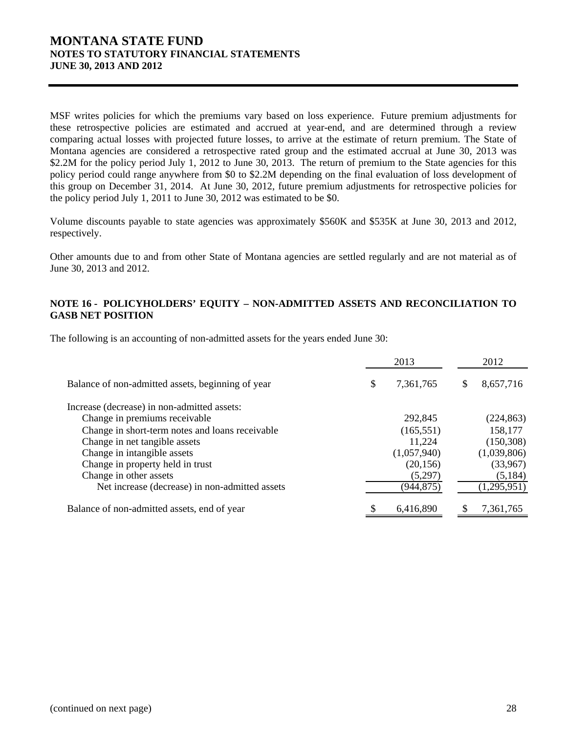MSF writes policies for which the premiums vary based on loss experience. Future premium adjustments for these retrospective policies are estimated and accrued at year-end, and are determined through a review comparing actual losses with projected future losses, to arrive at the estimate of return premium. The State of Montana agencies are considered a retrospective rated group and the estimated accrual at June 30, 2013 was \$2.2M for the policy period July 1, 2012 to June 30, 2013. The return of premium to the State agencies for this policy period could range anywhere from \$0 to \$2.2M depending on the final evaluation of loss development of this group on December 31, 2014. At June 30, 2012, future premium adjustments for retrospective policies for the policy period July 1, 2011 to June 30, 2012 was estimated to be \$0.

Volume discounts payable to state agencies was approximately \$560K and \$535K at June 30, 2013 and 2012, respectively.

Other amounts due to and from other State of Montana agencies are settled regularly and are not material as of June 30, 2013 and 2012.

### **NOTE 16 - POLICYHOLDERS' EQUITY – NON-ADMITTED ASSETS AND RECONCILIATION TO GASB NET POSITION**

The following is an accounting of non-admitted assets for the years ended June 30:

|                                                   |   | 2013        | 2012            |
|---------------------------------------------------|---|-------------|-----------------|
| Balance of non-admitted assets, beginning of year |   | 7,361,765   | \$<br>8,657,716 |
| Increase (decrease) in non-admitted assets:       |   |             |                 |
| Change in premiums receivable                     |   | 292,845     | (224, 863)      |
| Change in short-term notes and loans receivable   |   | (165, 551)  | 158,177         |
| Change in net tangible assets                     |   | 11,224      | (150, 308)      |
| Change in intangible assets                       |   | (1,057,940) | (1,039,806)     |
| Change in property held in trust                  |   | (20, 156)   | (33,967)        |
| Change in other assets                            |   | (5,297)     | (5, 184)        |
| Net increase (decrease) in non-admitted assets    |   | (944,875)   | (1,295,951)     |
| Balance of non-admitted assets, end of year       | S | 6,416,890   | 7,361,765       |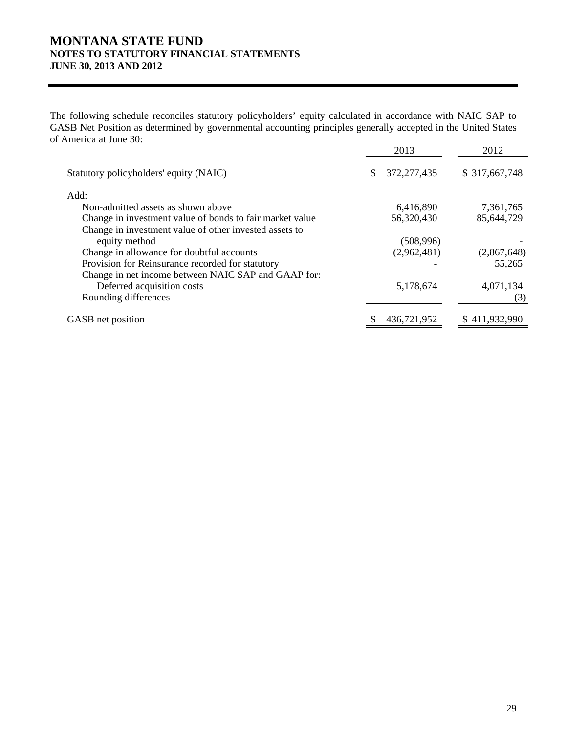The following schedule reconciles statutory policyholders' equity calculated in accordance with NAIC SAP to GASB Net Position as determined by governmental accounting principles generally accepted in the United States of America at June 30:

|                                                          | 2013                | 2012          |
|----------------------------------------------------------|---------------------|---------------|
| Statutory policyholders' equity (NAIC)                   | \$<br>372, 277, 435 | \$317,667,748 |
| Add:                                                     |                     |               |
| Non-admitted assets as shown above                       | 6,416,890           | 7,361,765     |
| Change in investment value of bonds to fair market value | 56,320,430          | 85,644,729    |
| Change in investment value of other invested assets to   |                     |               |
| equity method                                            | (508, 996)          |               |
| Change in allowance for doubtful accounts                | (2,962,481)         | (2,867,648)   |
| Provision for Reinsurance recorded for statutory         |                     | 55,265        |
| Change in net income between NAIC SAP and GAAP for:      |                     |               |
| Deferred acquisition costs                               | 5,178,674           | 4,071,134     |
| Rounding differences                                     |                     | (3)           |
| GASB net position                                        | 436,721,952         | \$411,932,990 |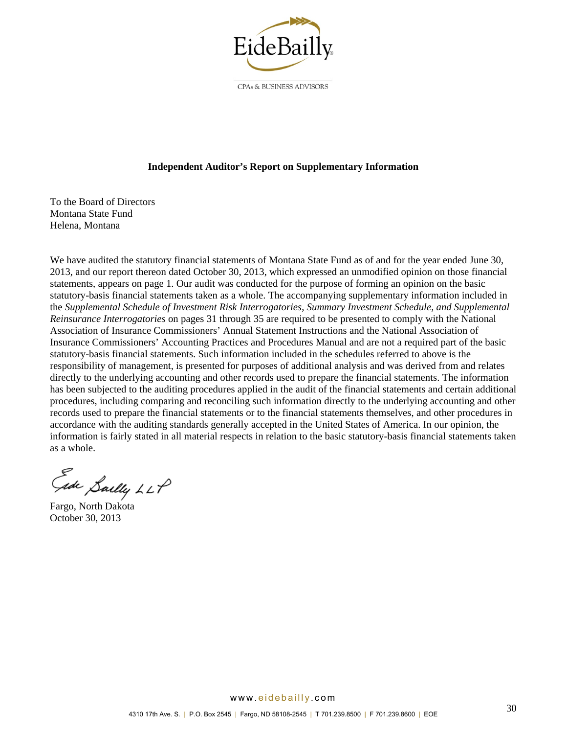

CPAs & BUSINESS ADVISORS

### **Independent Auditor's Report on Supplementary Information**

To the Board of Directors Montana State Fund Helena, Montana

We have audited the statutory financial statements of Montana State Fund as of and for the year ended June 30, 2013, and our report thereon dated October 30, 2013, which expressed an unmodified opinion on those financial statements, appears on page 1. Our audit was conducted for the purpose of forming an opinion on the basic statutory-basis financial statements taken as a whole. The accompanying supplementary information included in the *Supplemental Schedule of Investment Risk Interrogatories*, *Summary Investment Schedule, and Supplemental Reinsurance Interrogatories* on pages 31 through 35 are required to be presented to comply with the National Association of Insurance Commissioners' Annual Statement Instructions and the National Association of Insurance Commissioners' Accounting Practices and Procedures Manual and are not a required part of the basic statutory-basis financial statements. Such information included in the schedules referred to above is the responsibility of management, is presented for purposes of additional analysis and was derived from and relates directly to the underlying accounting and other records used to prepare the financial statements. The information has been subjected to the auditing procedures applied in the audit of the financial statements and certain additional procedures, including comparing and reconciling such information directly to the underlying accounting and other records used to prepare the financial statements or to the financial statements themselves, and other procedures in accordance with the auditing standards generally accepted in the United States of America. In our opinion, the information is fairly stated in all material respects in relation to the basic statutory-basis financial statements taken as a whole.

Ede Saelly LLP

Fargo, North Dakota October 30, 2013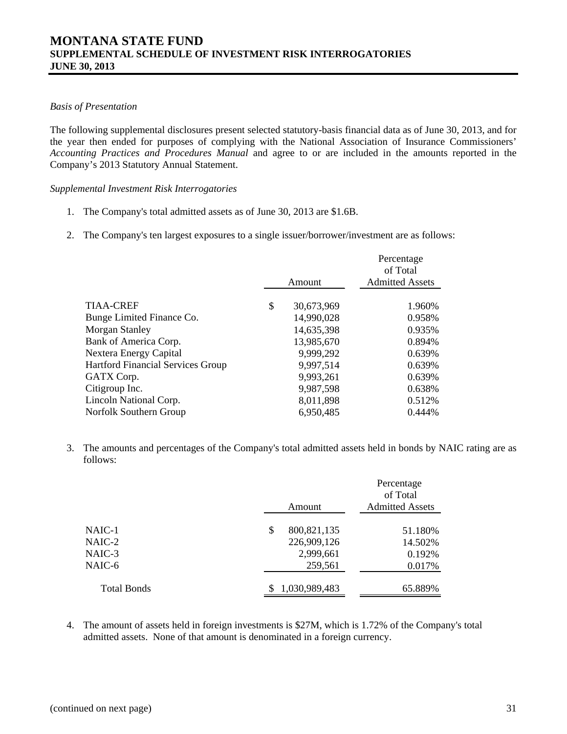### *Basis of Presentation*

The following supplemental disclosures present selected statutory-basis financial data as of June 30, 2013, and for the year then ended for purposes of complying with the National Association of Insurance Commissioners' *Accounting Practices and Procedures Manual* and agree to or are included in the amounts reported in the Company's 2013 Statutory Annual Statement.

*Supplemental Investment Risk Interrogatories* 

- 1. The Company's total admitted assets as of June 30, 2013 are \$1.6B.
- 2. The Company's ten largest exposures to a single issuer/borrower/investment are as follows:

|                                          |                  | Percentage<br>of Total |
|------------------------------------------|------------------|------------------------|
|                                          | Amount           | <b>Admitted Assets</b> |
| TIAA-CREF                                | \$<br>30,673,969 | 1.960%                 |
| Bunge Limited Finance Co.                | 14,990,028       | 0.958%                 |
| Morgan Stanley                           | 14,635,398       | 0.935%                 |
| Bank of America Corp.                    | 13,985,670       | 0.894%                 |
| Nextera Energy Capital                   | 9,999,292        | 0.639%                 |
| <b>Hartford Financial Services Group</b> | 9,997,514        | 0.639%                 |
| GATX Corp.                               | 9,993,261        | 0.639%                 |
| Citigroup Inc.                           | 9,987,598        | 0.638%                 |
| Lincoln National Corp.                   | 8,011,898        | 0.512%                 |
| Norfolk Southern Group                   | 6,950,485        | 0.444%                 |

3. The amounts and percentages of the Company's total admitted assets held in bonds by NAIC rating are as follows:

|                    | Amount              | Percentage<br>of Total<br><b>Admitted Assets</b> |
|--------------------|---------------------|--------------------------------------------------|
|                    |                     |                                                  |
| NAIC-1             | 800, 821, 135<br>\$ | 51.180%                                          |
| NAIC-2             | 226,909,126         | 14.502%                                          |
| NAIC-3             | 2,999,661           | 0.192%                                           |
| NAIC-6             | 259,561             | 0.017%                                           |
| <b>Total Bonds</b> | 1,030,989,483       | 65.889%                                          |
|                    |                     |                                                  |

4. The amount of assets held in foreign investments is \$27M, which is 1.72% of the Company's total admitted assets. None of that amount is denominated in a foreign currency.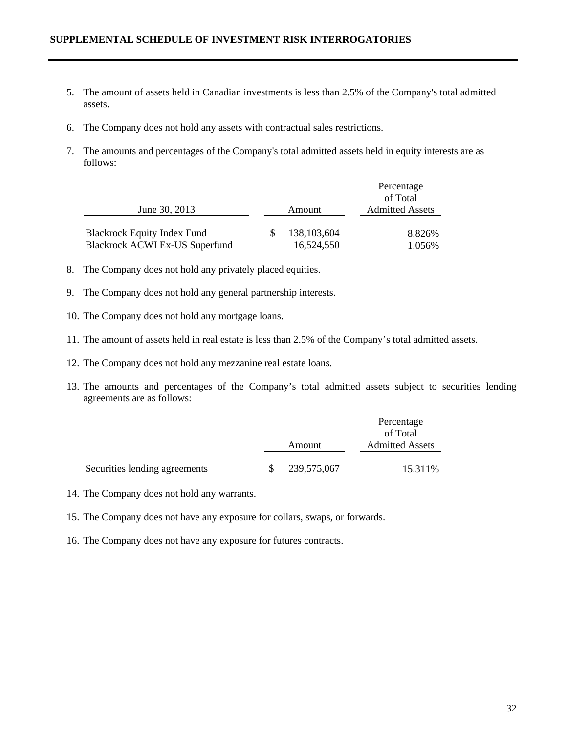### **SUPPLEMENTAL SCHEDULE OF INVESTMENT RISK INTERROGATORIES**

- 5. The amount of assets held in Canadian investments is less than 2.5% of the Company's total admitted assets.
- 6. The Company does not hold any assets with contractual sales restrictions.
- 7. The amounts and percentages of the Company's total admitted assets held in equity interests are as follows:

|                                    |               | Percentage                         |  |  |
|------------------------------------|---------------|------------------------------------|--|--|
|                                    |               | of Total<br><b>Admitted Assets</b> |  |  |
| June 30, 2013                      | Amount        |                                    |  |  |
| <b>Blackrock Equity Index Fund</b> | 138, 103, 604 | 8.826%                             |  |  |
|                                    |               |                                    |  |  |
| Blackrock ACWI Ex-US Superfund     | 16,524,550    | 1.056%                             |  |  |

- 8. The Company does not hold any privately placed equities.
- 9. The Company does not hold any general partnership interests.
- 10. The Company does not hold any mortgage loans.
- 11. The amount of assets held in real estate is less than 2.5% of the Company's total admitted assets.
- 12. The Company does not hold any mezzanine real estate loans.
- 13. The amounts and percentages of the Company's total admitted assets subject to securities lending agreements are as follows:

|                               |        |             | Percentage<br>of Total |  |  |
|-------------------------------|--------|-------------|------------------------|--|--|
|                               |        |             |                        |  |  |
|                               | Amount |             | <b>Admitted Assets</b> |  |  |
| Securities lending agreements |        | 239,575,067 | 15.311%                |  |  |

- 14. The Company does not hold any warrants.
- 15. The Company does not have any exposure for collars, swaps, or forwards.
- 16. The Company does not have any exposure for futures contracts.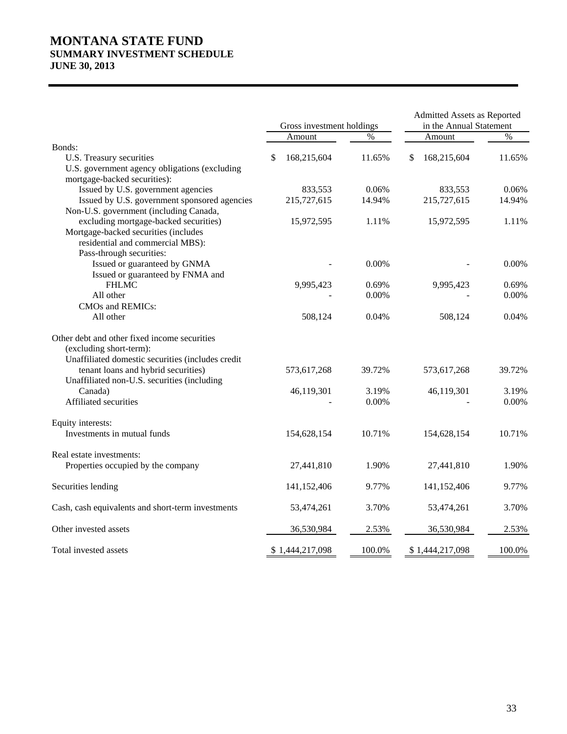# **MONTANA STATE FUND SUMMARY INVESTMENT SCHEDULE JUNE 30, 2013**

|                                                   | Gross investment holdings |                 |        | Admitted Assets as Reported<br>in the Annual Statement |                 |        |
|---------------------------------------------------|---------------------------|-----------------|--------|--------------------------------------------------------|-----------------|--------|
|                                                   |                           | Amount          | $\%$   |                                                        | Amount          | $\%$   |
| Bonds:                                            |                           |                 |        |                                                        |                 |        |
| U.S. Treasury securities                          | S                         | 168,215,604     | 11.65% | \$                                                     | 168,215,604     | 11.65% |
| U.S. government agency obligations (excluding     |                           |                 |        |                                                        |                 |        |
| mortgage-backed securities):                      |                           |                 |        |                                                        |                 |        |
| Issued by U.S. government agencies                |                           | 833,553         | 0.06%  |                                                        | 833,553         | 0.06%  |
| Issued by U.S. government sponsored agencies      |                           | 215,727,615     | 14.94% |                                                        | 215,727,615     | 14.94% |
| Non-U.S. government (including Canada,            |                           |                 |        |                                                        |                 |        |
| excluding mortgage-backed securities)             |                           | 15,972,595      | 1.11%  |                                                        | 15,972,595      | 1.11%  |
| Mortgage-backed securities (includes              |                           |                 |        |                                                        |                 |        |
| residential and commercial MBS):                  |                           |                 |        |                                                        |                 |        |
| Pass-through securities:                          |                           |                 |        |                                                        |                 |        |
| Issued or guaranteed by GNMA                      |                           |                 | 0.00%  |                                                        |                 | 0.00%  |
| Issued or guaranteed by FNMA and                  |                           |                 |        |                                                        |                 |        |
| <b>FHLMC</b>                                      |                           | 9,995,423       | 0.69%  |                                                        | 9,995,423       | 0.69%  |
| All other                                         |                           |                 | 0.00%  |                                                        |                 | 0.00%  |
| CMOs and REMICs:                                  |                           |                 |        |                                                        |                 |        |
| All other                                         |                           | 508,124         | 0.04%  |                                                        | 508,124         | 0.04%  |
| Other debt and other fixed income securities      |                           |                 |        |                                                        |                 |        |
| (excluding short-term):                           |                           |                 |        |                                                        |                 |        |
| Unaffiliated domestic securities (includes credit |                           |                 |        |                                                        |                 |        |
| tenant loans and hybrid securities)               |                           | 573,617,268     | 39.72% |                                                        | 573,617,268     | 39.72% |
| Unaffiliated non-U.S. securities (including       |                           |                 |        |                                                        |                 |        |
| Canada)                                           |                           | 46,119,301      | 3.19%  |                                                        | 46,119,301      | 3.19%  |
| Affiliated securities                             |                           |                 | 0.00%  |                                                        |                 | 0.00%  |
| Equity interests:                                 |                           |                 |        |                                                        |                 |        |
| Investments in mutual funds                       |                           | 154,628,154     | 10.71% |                                                        | 154,628,154     | 10.71% |
| Real estate investments:                          |                           |                 |        |                                                        |                 |        |
| Properties occupied by the company                |                           | 27,441,810      | 1.90%  |                                                        | 27,441,810      | 1.90%  |
| Securities lending                                |                           | 141,152,406     | 9.77%  |                                                        | 141, 152, 406   | 9.77%  |
| Cash, cash equivalents and short-term investments |                           | 53,474,261      | 3.70%  |                                                        | 53,474,261      | 3.70%  |
| Other invested assets                             |                           | 36,530,984      | 2.53%  |                                                        | 36,530,984      | 2.53%  |
| Total invested assets                             |                           | \$1,444,217,098 | 100.0% |                                                        | \$1,444,217,098 | 100.0% |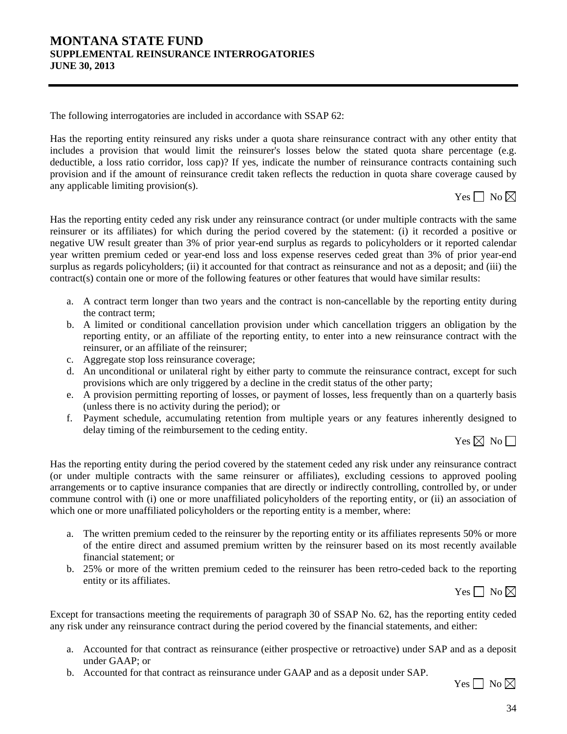# **MONTANA STATE FUND SUPPLEMENTAL REINSURANCE INTERROGATORIES JUNE 30, 2013**

The following interrogatories are included in accordance with SSAP 62:

Has the reporting entity reinsured any risks under a quota share reinsurance contract with any other entity that includes a provision that would limit the reinsurer's losses below the stated quota share percentage (e.g. deductible, a loss ratio corridor, loss cap)? If yes, indicate the number of reinsurance contracts containing such provision and if the amount of reinsurance credit taken reflects the reduction in quota share coverage caused by any applicable limiting provision(s).

Yes  $\Box$  No  $\boxtimes$ 

Has the reporting entity ceded any risk under any reinsurance contract (or under multiple contracts with the same reinsurer or its affiliates) for which during the period covered by the statement: (i) it recorded a positive or negative UW result greater than 3% of prior year-end surplus as regards to policyholders or it reported calendar year written premium ceded or year-end loss and loss expense reserves ceded great than 3% of prior year-end surplus as regards policyholders; (ii) it accounted for that contract as reinsurance and not as a deposit; and (iii) the contract(s) contain one or more of the following features or other features that would have similar results:

- a. A contract term longer than two years and the contract is non-cancellable by the reporting entity during the contract term;
- b. A limited or conditional cancellation provision under which cancellation triggers an obligation by the reporting entity, or an affiliate of the reporting entity, to enter into a new reinsurance contract with the reinsurer, or an affiliate of the reinsurer;
- c. Aggregate stop loss reinsurance coverage;
- d. An unconditional or unilateral right by either party to commute the reinsurance contract, except for such provisions which are only triggered by a decline in the credit status of the other party;
- e. A provision permitting reporting of losses, or payment of losses, less frequently than on a quarterly basis (unless there is no activity during the period); or
- f. Payment schedule, accumulating retention from multiple years or any features inherently designed to delay timing of the reimbursement to the ceding entity.

Yes  $\boxtimes$  No  $\Box$ 

Has the reporting entity during the period covered by the statement ceded any risk under any reinsurance contract (or under multiple contracts with the same reinsurer or affiliates), excluding cessions to approved pooling arrangements or to captive insurance companies that are directly or indirectly controlling, controlled by, or under commune control with (i) one or more unaffiliated policyholders of the reporting entity, or (ii) an association of which one or more unaffiliated policyholders or the reporting entity is a member, where:

- a. The written premium ceded to the reinsurer by the reporting entity or its affiliates represents 50% or more of the entire direct and assumed premium written by the reinsurer based on its most recently available financial statement; or
- b. 25% or more of the written premium ceded to the reinsurer has been retro-ceded back to the reporting entity or its affiliates.

Yes  $\Box$  No  $\boxtimes$ 

Except for transactions meeting the requirements of paragraph 30 of SSAP No. 62, has the reporting entity ceded any risk under any reinsurance contract during the period covered by the financial statements, and either:

- a. Accounted for that contract as reinsurance (either prospective or retroactive) under SAP and as a deposit under GAAP; or
- b. Accounted for that contract as reinsurance under GAAP and as a deposit under SAP.

Yes  $\Box$  No  $\boxtimes$